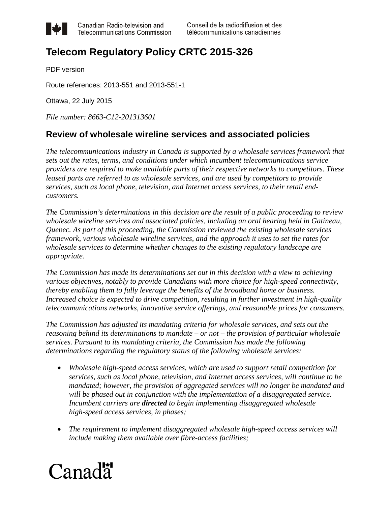

Canadian Radio-television and **Telecommunications Commission** 

# **Telecom Regulatory Policy CRTC 2015-326**

PDF version

Route references: 2013-551 and 2013-551-1

Ottawa, 22 July 2015

*File number: 8663-C12-201313601*

# **Review of wholesale wireline services and associated policies**

*The telecommunications industry in Canada is supported by a wholesale services framework that sets out the rates, terms, and conditions under which incumbent telecommunications service providers are required to make available parts of their respective networks to competitors. These leased parts are referred to as wholesale services, and are used by competitors to provide services, such as local phone, television, and Internet access services, to their retail endcustomers.* 

*The Commission's determinations in this decision are the result of a public proceeding to review wholesale wireline services and associated policies, including an oral hearing held in Gatineau, Quebec. As part of this proceeding, the Commission reviewed the existing wholesale services framework, various wholesale wireline services, and the approach it uses to set the rates for wholesale services to determine whether changes to the existing regulatory landscape are appropriate.*

*The Commission has made its determinations set out in this decision with a view to achieving various objectives, notably to provide Canadians with more choice for high-speed connectivity, thereby enabling them to fully leverage the benefits of the broadband home or business. Increased choice is expected to drive competition, resulting in further investment in high-quality telecommunications networks, innovative service offerings, and reasonable prices for consumers.* 

*The Commission has adjusted its mandating criteria for wholesale services, and sets out the reasoning behind its determinations to mandate – or not – the provision of particular wholesale services. Pursuant to its mandating criteria, the Commission has made the following determinations regarding the regulatory status of the following wholesale services:*

- *Wholesale high-speed access services, which are used to support retail competition for services, such as local phone, television, and Internet access services, will continue to be mandated; however, the provision of aggregated services will no longer be mandated and will be phased out in conjunction with the implementation of a disaggregated service. Incumbent carriers are directed to begin implementing disaggregated wholesale high-speed access services, in phases;*
- *The requirement to implement disaggregated wholesale high-speed access services will include making them available over fibre-access facilities;*

# Canadä<sup>r</sup>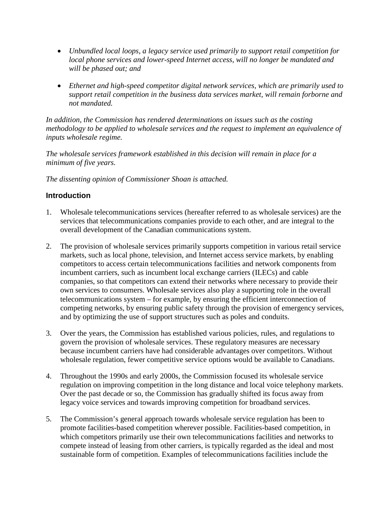- *Unbundled local loops, a legacy service used primarily to support retail competition for local phone services and lower-speed Internet access, will no longer be mandated and will be phased out; and*
- *Ethernet and high-speed competitor digital network services, which are primarily used to support retail competition in the business data services market, will remain forborne and not mandated.*

*In addition, the Commission has rendered determinations on issues such as the costing methodology to be applied to wholesale services and the request to implement an equivalence of inputs wholesale regime.*

*The wholesale services framework established in this decision will remain in place for a minimum of five years.*

*The dissenting opinion of Commissioner Shoan is attached.*

# **Introduction**

- 1. Wholesale telecommunications services (hereafter referred to as wholesale services) are the services that telecommunications companies provide to each other, and are integral to the overall development of the Canadian communications system.
- 2. The provision of wholesale services primarily supports competition in various retail service markets, such as local phone, television, and Internet access service markets, by enabling competitors to access certain telecommunications facilities and network components from incumbent carriers, such as incumbent local exchange carriers (ILECs) and cable companies, so that competitors can extend their networks where necessary to provide their own services to consumers. Wholesale services also play a supporting role in the overall telecommunications system – for example, by ensuring the efficient interconnection of competing networks, by ensuring public safety through the provision of emergency services, and by optimizing the use of support structures such as poles and conduits.
- 3. Over the years, the Commission has established various policies, rules, and regulations to govern the provision of wholesale services. These regulatory measures are necessary because incumbent carriers have had considerable advantages over competitors. Without wholesale regulation, fewer competitive service options would be available to Canadians.
- 4. Throughout the 1990s and early 2000s, the Commission focused its wholesale service regulation on improving competition in the long distance and local voice telephony markets. Over the past decade or so, the Commission has gradually shifted its focus away from legacy voice services and towards improving competition for broadband services.
- 5. The Commission's general approach towards wholesale service regulation has been to promote facilities-based competition wherever possible. Facilities-based competition, in which competitors primarily use their own telecommunications facilities and networks to compete instead of leasing from other carriers, is typically regarded as the ideal and most sustainable form of competition. Examples of telecommunications facilities include the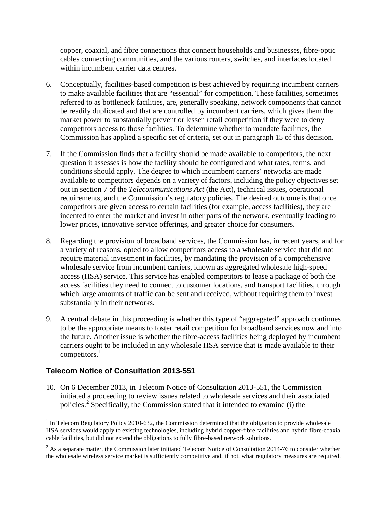copper, coaxial, and fibre connections that connect households and businesses, fibre-optic cables connecting communities, and the various routers, switches, and interfaces located within incumbent carrier data centres.

- 6. Conceptually, facilities-based competition is best achieved by requiring incumbent carriers to make available facilities that are "essential" for competition. These facilities, sometimes referred to as bottleneck facilities, are, generally speaking, network components that cannot be readily duplicated and that are controlled by incumbent carriers, which gives them the market power to substantially prevent or lessen retail competition if they were to deny competitors access to those facilities. To determine whether to mandate facilities, the Commission has applied a specific set of criteria, set out in paragraph 15 of this decision.
- 7. If the Commission finds that a facility should be made available to competitors, the next question it assesses is how the facility should be configured and what rates, terms, and conditions should apply. The degree to which incumbent carriers' networks are made available to competitors depends on a variety of factors, including the policy objectives set out in section 7 of the *Telecommunications Act* (the Act), technical issues, operational requirements, and the Commission's regulatory policies. The desired outcome is that once competitors are given access to certain facilities (for example, access facilities), they are incented to enter the market and invest in other parts of the network, eventually leading to lower prices, innovative service offerings, and greater choice for consumers.
- 8. Regarding the provision of broadband services, the Commission has, in recent years, and for a variety of reasons, opted to allow competitors access to a wholesale service that did not require material investment in facilities, by mandating the provision of a comprehensive wholesale service from incumbent carriers, known as aggregated wholesale high-speed access (HSA) service. This service has enabled competitors to lease a package of both the access facilities they need to connect to customer locations, and transport facilities, through which large amounts of traffic can be sent and received, without requiring them to invest substantially in their networks.
- 9. A central debate in this proceeding is whether this type of "aggregated" approach continues to be the appropriate means to foster retail competition for broadband services now and into the future. Another issue is whether the fibre-access facilities being deployed by incumbent carriers ought to be included in any wholesale HSA service that is made available to their competitors. $<sup>1</sup>$  $<sup>1</sup>$  $<sup>1</sup>$ </sup>

# **Telecom Notice of Consultation 2013-551**

10. On 6 December 2013, in Telecom Notice of Consultation 2013-551, the Commission initiated a proceeding to review issues related to wholesale services and their associated policies.[2](#page-2-1) Specifically, the Commission stated that it intended to examine (i) the

<span id="page-2-0"></span> $1$  In Telecom Regulatory Policy 2010-632, the Commission determined that the obligation to provide wholesale HSA services would apply to existing technologies, including hybrid copper-fibre facilities and hybrid fibre-coaxial cable facilities, but did not extend the obligations to fully fibre-based network solutions.

<span id="page-2-1"></span> $^{2}$  As a separate matter, the Commission later initiated Telecom Notice of Consultation 2014-76 to consider whether the wholesale wireless service market is sufficiently competitive and, if not, what regulatory measures are required.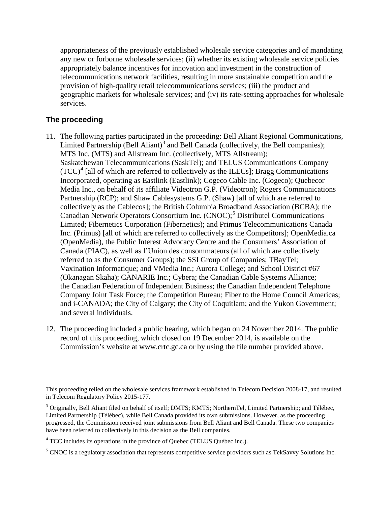appropriateness of the previously established wholesale service categories and of mandating any new or forborne wholesale services; (ii) whether its existing wholesale service policies appropriately balance incentives for innovation and investment in the construction of telecommunications network facilities, resulting in more sustainable competition and the provision of high-quality retail telecommunications services; (iii) the product and geographic markets for wholesale services; and (iv) its rate-setting approaches for wholesale services.

# **The proceeding**

- 11. The following parties participated in the proceeding: Bell Aliant Regional Communications, Limited Partnership (Bell Aliant)<sup>[3](#page-3-0)</sup> and Bell Canada (collectively, the Bell companies); MTS Inc. (MTS) and Allstream Inc. (collectively, MTS Allstream); Saskatchewan Telecommunications (SaskTel); and TELUS Communications Company  $(TCC)^4$  $(TCC)^4$  [all of which are referred to collectively as the ILECs]; Bragg Communications Incorporated, operating as Eastlink (Eastlink); Cogeco Cable Inc. (Cogeco); Quebecor Media Inc., on behalf of its affiliate Videotron G.P. (Videotron); Rogers Communications Partnership (RCP); and Shaw Cablesystems G.P. (Shaw) [all of which are referred to collectively as the Cablecos]; the British Columbia Broadband Association (BCBA); the Canadian Network Operators Consortium Inc. (CNOC); [5](#page-3-2) Distributel Communications Limited; Fibernetics Corporation (Fibernetics); and Primus Telecommunications Canada Inc. (Primus) [all of which are referred to collectively as the Competitors]; OpenMedia.ca (OpenMedia), the Public Interest Advocacy Centre and the Consumers' Association of Canada (PIAC), as well as l'Union des consommateurs (all of which are collectively referred to as the Consumer Groups); the SSI Group of Companies; TBayTel; Vaxination Informatique; and VMedia Inc.; Aurora College; and School District #67 (Okanagan Skaha); CANARIE Inc.; Cybera; the Canadian Cable Systems Alliance; the Canadian Federation of Independent Business; the Canadian Independent Telephone Company Joint Task Force; the Competition Bureau; Fiber to the Home Council Americas; and i-CANADA; the City of Calgary; the City of Coquitlam; and the Yukon Government; and several individuals.
- 12. The proceeding included a public hearing, which began on 24 November 2014. The public record of this proceeding, which closed on 19 December 2014, is available on the Commission's website at www.crtc.gc.ca or by using the file number provided above.

 $\overline{a}$ This proceeding relied on the wholesale services framework established in Telecom Decision 2008-17, and resulted in Telecom Regulatory Policy 2015-177.

<span id="page-3-0"></span><sup>3</sup> Originally, Bell Aliant filed on behalf of itself; DMTS; KMTS; NorthernTel, Limited Partnership; and Télébec, Limited Partnership (Télébec), while Bell Canada provided its own submissions. However, as the proceeding progressed, the Commission received joint submissions from Bell Aliant and Bell Canada. These two companies have been referred to collectively in this decision as the Bell companies.

<span id="page-3-1"></span><sup>&</sup>lt;sup>4</sup> TCC includes its operations in the province of Quebec (TELUS Québec inc.).

<span id="page-3-2"></span><sup>&</sup>lt;sup>5</sup> CNOC is a regulatory association that represents competitive service providers such as TekSavvy Solutions Inc.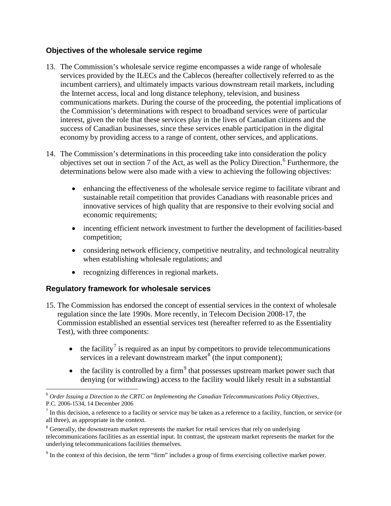# **Objectives of the wholesale service regime**

- 13. The Commission's wholesale service regime encompasses a wide range of wholesale services provided by the ILECs and the Cablecos (hereafter collectively referred to as the incumbent carriers), and ultimately impacts various downstream retail markets, including the Internet access, local and long distance telephony, television, and business communications markets. During the course of the proceeding, the potential implications of the Commission's determinations with respect to broadband services were of particular interest, given the role that these services play in the lives of Canadian citizens and the success of Canadian businesses, since these services enable participation in the digital economy by providing access to a range of content, other services, and applications.
- 14. The Commission's determinations in this proceeding take into consideration the policy objectives set out in section 7 of the Act, as well as the Policy Direction.<sup>[6](#page-4-0)</sup> Furthermore, the determinations below were also made with a view to achieving the following objectives:
	- enhancing the effectiveness of the wholesale service regime to facilitate vibrant and sustainable retail competition that provides Canadians with reasonable prices and innovative services of high quality that are responsive to their evolving social and economic requirements;
	- incenting efficient network investment to further the development of facilities-based competition;
	- considering network efficiency, competitive neutrality, and technological neutrality when establishing wholesale regulations; and
	- recognizing differences in regional markets.

# **Regulatory framework for wholesale services**

- 15. The Commission has endorsed the concept of essential services in the context of wholesale regulation since the late 1990s. More recently, in Telecom Decision 2008-17, the Commission established an essential services test (hereafter referred to as the Essentiality Test), with three components:
	- the facility<sup>[7](#page-4-1)</sup> is required as an input by competitors to provide telecommunications services in a relevant downstream market  $\delta$  (the input component);
	- the facility is controlled by a firm<sup>[9](#page-4-3)</sup> that possesses upstream market power such that denying (or withdrawing) access to the facility would likely result in a substantial

<span id="page-4-0"></span> <sup>6</sup> *Order Issuing a Direction to the CRTC on Implementing the Canadian Telecommunications Policy Objectives*, P.C. 2006-1534, 14 December 2006

<span id="page-4-1"></span> $<sup>7</sup>$  In this decision, a reference to a facility or service may be taken as a reference to a facility, function, or service (or</sup> all three), as appropriate in the context.

<span id="page-4-2"></span><sup>&</sup>lt;sup>8</sup> Generally, the downstream market represents the market for retail services that rely on underlying telecommunications facilities as an essential input. In contrast, the upstream market represents the market for the underlying telecommunications facilities themselves.

<span id="page-4-3"></span><sup>9</sup> In the context of this decision, the term "firm" includes a group of firms exercising collective market power.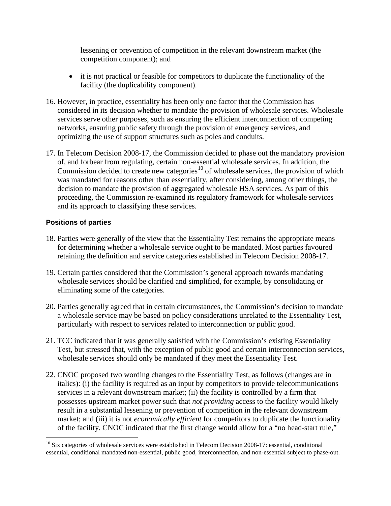lessening or prevention of competition in the relevant downstream market (the competition component); and

- it is not practical or feasible for competitors to duplicate the functionality of the facility (the duplicability component).
- 16. However, in practice, essentiality has been only one factor that the Commission has considered in its decision whether to mandate the provision of wholesale services. Wholesale services serve other purposes, such as ensuring the efficient interconnection of competing networks, ensuring public safety through the provision of emergency services, and optimizing the use of support structures such as poles and conduits.
- 17. In Telecom Decision 2008-17, the Commission decided to phase out the mandatory provision of, and forbear from regulating, certain non-essential wholesale services. In addition, the Commission decided to create new categories<sup>[10](#page-5-0)</sup> of wholesale services, the provision of which was mandated for reasons other than essentiality, after considering, among other things, the decision to mandate the provision of aggregated wholesale HSA services. As part of this proceeding, the Commission re-examined its regulatory framework for wholesale services and its approach to classifying these services.

### **Positions of parties**

- 18. Parties were generally of the view that the Essentiality Test remains the appropriate means for determining whether a wholesale service ought to be mandated. Most parties favoured retaining the definition and service categories established in Telecom Decision 2008-17.
- 19. Certain parties considered that the Commission's general approach towards mandating wholesale services should be clarified and simplified, for example, by consolidating or eliminating some of the categories.
- 20. Parties generally agreed that in certain circumstances, the Commission's decision to mandate a wholesale service may be based on policy considerations unrelated to the Essentiality Test, particularly with respect to services related to interconnection or public good.
- 21. TCC indicated that it was generally satisfied with the Commission's existing Essentiality Test, but stressed that, with the exception of public good and certain interconnection services, wholesale services should only be mandated if they meet the Essentiality Test.
- 22. CNOC proposed two wording changes to the Essentiality Test, as follows (changes are in italics): (i) the facility is required as an input by competitors to provide telecommunications services in a relevant downstream market; (ii) the facility is controlled by a firm that possesses upstream market power such that *not providing* access to the facility would likely result in a substantial lessening or prevention of competition in the relevant downstream market; and (iii) it is not *economically efficient* for competitors to duplicate the functionality of the facility. CNOC indicated that the first change would allow for a "no head-start rule,"

<span id="page-5-0"></span> $10$  Six categories of wholesale services were established in Telecom Decision 2008-17: essential, conditional essential, conditional mandated non-essential, public good, interconnection, and non-essential subject to phase-out.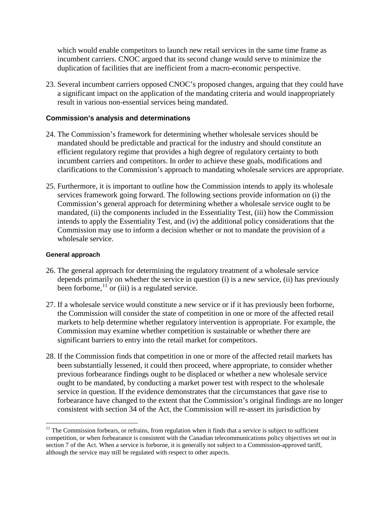which would enable competitors to launch new retail services in the same time frame as incumbent carriers. CNOC argued that its second change would serve to minimize the duplication of facilities that are inefficient from a macro-economic perspective.

23. Several incumbent carriers opposed CNOC's proposed changes, arguing that they could have a significant impact on the application of the mandating criteria and would inappropriately result in various non-essential services being mandated.

#### **Commission's analysis and determinations**

- 24. The Commission's framework for determining whether wholesale services should be mandated should be predictable and practical for the industry and should constitute an efficient regulatory regime that provides a high degree of regulatory certainty to both incumbent carriers and competitors. In order to achieve these goals, modifications and clarifications to the Commission's approach to mandating wholesale services are appropriate.
- 25. Furthermore, it is important to outline how the Commission intends to apply its wholesale services framework going forward. The following sections provide information on (i) the Commission's general approach for determining whether a wholesale service ought to be mandated, (ii) the components included in the Essentiality Test, (iii) how the Commission intends to apply the Essentiality Test, and (iv) the additional policy considerations that the Commission may use to inform a decision whether or not to mandate the provision of a wholesale service.

#### **General approach**

- 26. The general approach for determining the regulatory treatment of a wholesale service depends primarily on whether the service in question (i) is a new service, (ii) has previously been forborne,  $\frac{11}{1}$  $\frac{11}{1}$  $\frac{11}{1}$  or (iii) is a regulated service.
- 27. If a wholesale service would constitute a new service or if it has previously been forborne, the Commission will consider the state of competition in one or more of the affected retail markets to help determine whether regulatory intervention is appropriate. For example, the Commission may examine whether competition is sustainable or whether there are significant barriers to entry into the retail market for competitors.
- 28. If the Commission finds that competition in one or more of the affected retail markets has been substantially lessened, it could then proceed, where appropriate, to consider whether previous forbearance findings ought to be displaced or whether a new wholesale service ought to be mandated, by conducting a market power test with respect to the wholesale service in question. If the evidence demonstrates that the circumstances that gave rise to forbearance have changed to the extent that the Commission's original findings are no longer consistent with section 34 of the Act, the Commission will re-assert its jurisdiction by

<span id="page-6-0"></span><sup>&</sup>lt;sup>11</sup> The Commission forbears, or refrains, from regulation when it finds that a service is subject to sufficient competition, or when forbearance is consistent with the Canadian telecommunications policy objectives set out in section 7 of the Act. When a service is forborne, it is generally not subject to a Commission-approved tariff, although the service may still be regulated with respect to other aspects.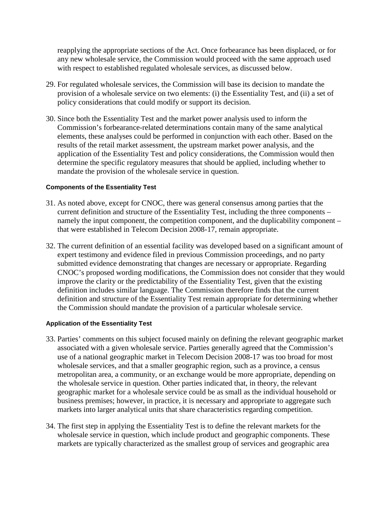reapplying the appropriate sections of the Act. Once forbearance has been displaced, or for any new wholesale service, the Commission would proceed with the same approach used with respect to established regulated wholesale services, as discussed below.

- 29. For regulated wholesale services, the Commission will base its decision to mandate the provision of a wholesale service on two elements: (i) the Essentiality Test, and (ii) a set of policy considerations that could modify or support its decision.
- 30. Since both the Essentiality Test and the market power analysis used to inform the Commission's forbearance-related determinations contain many of the same analytical elements, these analyses could be performed in conjunction with each other. Based on the results of the retail market assessment, the upstream market power analysis, and the application of the Essentiality Test and policy considerations, the Commission would then determine the specific regulatory measures that should be applied, including whether to mandate the provision of the wholesale service in question.

#### **Components of the Essentiality Test**

- 31. As noted above, except for CNOC, there was general consensus among parties that the current definition and structure of the Essentiality Test, including the three components – namely the input component, the competition component, and the duplicability component – that were established in Telecom Decision 2008-17, remain appropriate.
- 32. The current definition of an essential facility was developed based on a significant amount of expert testimony and evidence filed in previous Commission proceedings, and no party submitted evidence demonstrating that changes are necessary or appropriate. Regarding CNOC's proposed wording modifications, the Commission does not consider that they would improve the clarity or the predictability of the Essentiality Test, given that the existing definition includes similar language. The Commission therefore finds that the current definition and structure of the Essentiality Test remain appropriate for determining whether the Commission should mandate the provision of a particular wholesale service.

#### **Application of the Essentiality Test**

- 33. Parties' comments on this subject focused mainly on defining the relevant geographic market associated with a given wholesale service. Parties generally agreed that the Commission's use of a national geographic market in Telecom Decision 2008-17 was too broad for most wholesale services, and that a smaller geographic region, such as a province, a census metropolitan area, a community, or an exchange would be more appropriate, depending on the wholesale service in question. Other parties indicated that, in theory, the relevant geographic market for a wholesale service could be as small as the individual household or business premises; however, in practice, it is necessary and appropriate to aggregate such markets into larger analytical units that share characteristics regarding competition.
- 34. The first step in applying the Essentiality Test is to define the relevant markets for the wholesale service in question, which include product and geographic components. These markets are typically characterized as the smallest group of services and geographic area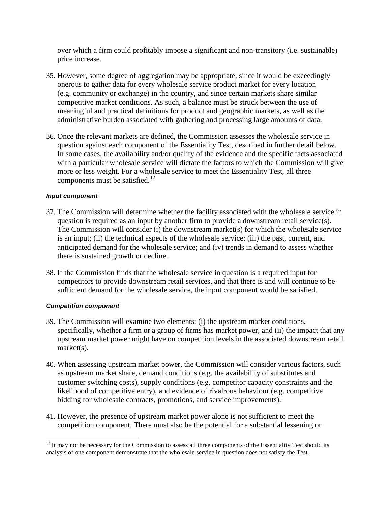over which a firm could profitably impose a significant and non-transitory (i.e. sustainable) price increase.

- 35. However, some degree of aggregation may be appropriate, since it would be exceedingly onerous to gather data for every wholesale service product market for every location (e.g. community or exchange) in the country, and since certain markets share similar competitive market conditions. As such, a balance must be struck between the use of meaningful and practical definitions for product and geographic markets, as well as the administrative burden associated with gathering and processing large amounts of data.
- 36. Once the relevant markets are defined, the Commission assesses the wholesale service in question against each component of the Essentiality Test, described in further detail below. In some cases, the availability and/or quality of the evidence and the specific facts associated with a particular wholesale service will dictate the factors to which the Commission will give more or less weight. For a wholesale service to meet the Essentiality Test, all three components must be satisfied.<sup>[12](#page-8-0)</sup>

#### *Input component*

- 37. The Commission will determine whether the facility associated with the wholesale service in question is required as an input by another firm to provide a downstream retail service(s). The Commission will consider (i) the downstream market(s) for which the wholesale service is an input; (ii) the technical aspects of the wholesale service; (iii) the past, current, and anticipated demand for the wholesale service; and (iv) trends in demand to assess whether there is sustained growth or decline.
- 38. If the Commission finds that the wholesale service in question is a required input for competitors to provide downstream retail services, and that there is and will continue to be sufficient demand for the wholesale service, the input component would be satisfied.

#### *Competition component*

- 39. The Commission will examine two elements: (i) the upstream market conditions, specifically, whether a firm or a group of firms has market power, and (ii) the impact that any upstream market power might have on competition levels in the associated downstream retail market(s).
- 40. When assessing upstream market power, the Commission will consider various factors, such as upstream market share, demand conditions (e.g. the availability of substitutes and customer switching costs), supply conditions (e.g. competitor capacity constraints and the likelihood of competitive entry), and evidence of rivalrous behaviour (e.g. competitive bidding for wholesale contracts, promotions, and service improvements).
- 41. However, the presence of upstream market power alone is not sufficient to meet the competition component. There must also be the potential for a substantial lessening or

<span id="page-8-0"></span> $12$  It may not be necessary for the Commission to assess all three components of the Essentiality Test should its analysis of one component demonstrate that the wholesale service in question does not satisfy the Test.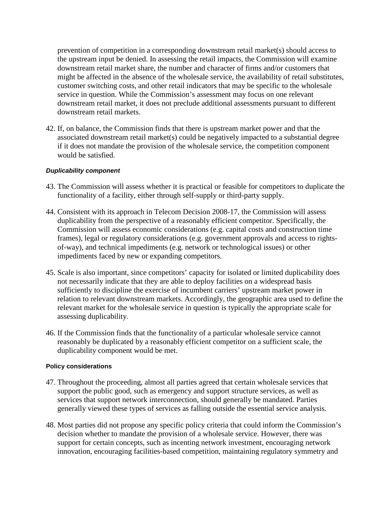prevention of competition in a corresponding downstream retail market(s) should access to the upstream input be denied. In assessing the retail impacts, the Commission will examine downstream retail market share, the number and character of firms and/or customers that might be affected in the absence of the wholesale service, the availability of retail substitutes, customer switching costs, and other retail indicators that may be specific to the wholesale service in question. While the Commission's assessment may focus on one relevant downstream retail market, it does not preclude additional assessments pursuant to different downstream retail markets.

42. If, on balance, the Commission finds that there is upstream market power and that the associated downstream retail market(s) could be negatively impacted to a substantial degree if it does not mandate the provision of the wholesale service, the competition component would be satisfied.

#### *Duplicability component*

- 43. The Commission will assess whether it is practical or feasible for competitors to duplicate the functionality of a facility, either through self-supply or third-party supply.
- 44. Consistent with its approach in Telecom Decision 2008-17, the Commission will assess duplicability from the perspective of a reasonably efficient competitor. Specifically, the Commission will assess economic considerations (e.g. capital costs and construction time frames), legal or regulatory considerations (e.g. government approvals and access to rightsof-way), and technical impediments (e.g. network or technological issues) or other impediments faced by new or expanding competitors.
- 45. Scale is also important, since competitors' capacity for isolated or limited duplicability does not necessarily indicate that they are able to deploy facilities on a widespread basis sufficiently to discipline the exercise of incumbent carriers' upstream market power in relation to relevant downstream markets. Accordingly, the geographic area used to define the relevant market for the wholesale service in question is typically the appropriate scale for assessing duplicability.
- 46. If the Commission finds that the functionality of a particular wholesale service cannot reasonably be duplicated by a reasonably efficient competitor on a sufficient scale, the duplicability component would be met.

#### **Policy considerations**

- 47. Throughout the proceeding, almost all parties agreed that certain wholesale services that support the public good, such as emergency and support structure services, as well as services that support network interconnection, should generally be mandated. Parties generally viewed these types of services as falling outside the essential service analysis.
- 48. Most parties did not propose any specific policy criteria that could inform the Commission's decision whether to mandate the provision of a wholesale service. However, there was support for certain concepts, such as incenting network investment, encouraging network innovation, encouraging facilities-based competition, maintaining regulatory symmetry and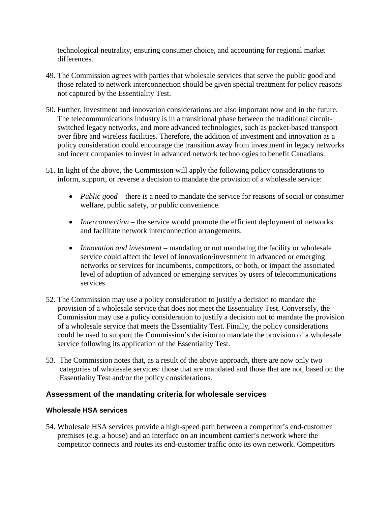technological neutrality, ensuring consumer choice, and accounting for regional market differences.

- 49. The Commission agrees with parties that wholesale services that serve the public good and those related to network interconnection should be given special treatment for policy reasons not captured by the Essentiality Test.
- 50. Further, investment and innovation considerations are also important now and in the future. The telecommunications industry is in a transitional phase between the traditional circuitswitched legacy networks, and more advanced technologies, such as packet-based transport over fibre and wireless facilities. Therefore, the addition of investment and innovation as a policy consideration could encourage the transition away from investment in legacy networks and incent companies to invest in advanced network technologies to benefit Canadians.
- 51. In light of the above, the Commission will apply the following policy considerations to inform, support, or reverse a decision to mandate the provision of a wholesale service:
	- *Public good* there is a need to mandate the service for reasons of social or consumer welfare, public safety, or public convenience.
	- *Interconnection* the service would promote the efficient deployment of networks and facilitate network interconnection arrangements.
	- *Innovation and investment* mandating or not mandating the facility or wholesale service could affect the level of innovation/investment in advanced or emerging networks or services for incumbents, competitors, or both, or impact the associated level of adoption of advanced or emerging services by users of telecommunications services.
- 52. The Commission may use a policy consideration to justify a decision to mandate the provision of a wholesale service that does not meet the Essentiality Test. Conversely, the Commission may use a policy consideration to justify a decision not to mandate the provision of a wholesale service that meets the Essentiality Test. Finally, the policy considerations could be used to support the Commission's decision to mandate the provision of a wholesale service following its application of the Essentiality Test.
- 53. The Commission notes that, as a result of the above approach, there are now only two categories of wholesale services: those that are mandated and those that are not, based on the Essentiality Test and/or the policy considerations.

# **Assessment of the mandating criteria for wholesale services**

# **Wholesale HSA services**

54. Wholesale HSA services provide a high-speed path between a competitor's end-customer premises (e.g. a house) and an interface on an incumbent carrier's network where the competitor connects and routes its end-customer traffic onto its own network. Competitors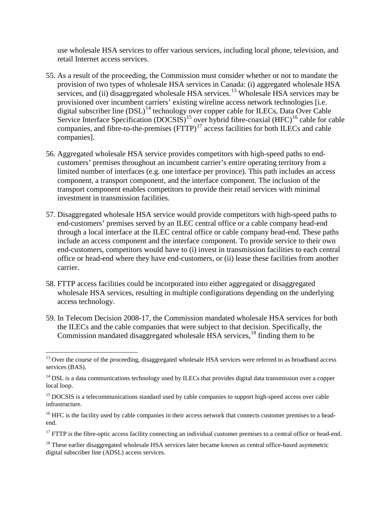use wholesale HSA services to offer various services, including local phone, television, and retail Internet access services.

- 55. As a result of the proceeding, the Commission must consider whether or not to mandate the provision of two types of wholesale HSA services in Canada: (i) aggregated wholesale HSA services, and (ii) disaggregated wholesale HSA services.<sup>[13](#page-11-0)</sup> Wholesale HSA services may be provisioned over incumbent carriers' existing wireline access network technologies [i.e. digital subscriber line  $(DSL)^{14}$  $(DSL)^{14}$  $(DSL)^{14}$  technology over copper cable for ILECs, Data Over Cable Service Interface Specification  $(DOCSIS)^{15}$  $(DOCSIS)^{15}$  $(DOCSIS)^{15}$  over hybrid fibre-coaxial  $(HFC)^{16}$  $(HFC)^{16}$  $(HFC)^{16}$  cable for cable companies, and fibre-to-the-premises  $(FTTP)^{17}$  $(FTTP)^{17}$  $(FTTP)^{17}$  access facilities for both ILECs and cable companies].
- 56. Aggregated wholesale HSA service provides competitors with high-speed paths to endcustomers' premises throughout an incumbent carrier's entire operating territory from a limited number of interfaces (e.g. one interface per province). This path includes an access component, a transport component, and the interface component. The inclusion of the transport component enables competitors to provide their retail services with minimal investment in transmission facilities.
- 57. Disaggregated wholesale HSA service would provide competitors with high-speed paths to end-customers' premises served by an ILEC central office or a cable company head-end through a local interface at the ILEC central office or cable company head-end. These paths include an access component and the interface component. To provide service to their own end-customers, competitors would have to (i) invest in transmission facilities to each central office or head-end where they have end-customers, or (ii) lease these facilities from another carrier.
- 58. FTTP access facilities could be incorporated into either aggregated or disaggregated wholesale HSA services, resulting in multiple configurations depending on the underlying access technology.
- 59. In Telecom Decision 2008-17, the Commission mandated wholesale HSA services for both the ILECs and the cable companies that were subject to that decision. Specifically, the Commission mandated disaggregated wholesale HSA services,<sup>[18](#page-11-5)</sup> finding them to be

<span id="page-11-0"></span><sup>&</sup>lt;sup>13</sup> Over the course of the proceeding, disaggregated wholesale HSA services were referred to as broadband access services (BAS).

<span id="page-11-1"></span> $14$  DSL is a data communications technology used by ILECs that provides digital data transmission over a copper local loop.

<span id="page-11-2"></span><sup>&</sup>lt;sup>15</sup> DOCSIS is a telecommunications standard used by cable companies to support high-speed access over cable infrastructure.

<span id="page-11-3"></span> $16$  HFC is the facility used by cable companies in their access network that connects customer premises to a headend.

<span id="page-11-4"></span> $17$  FTTP is the fibre-optic access facility connecting an individual customer premises to a central office or head-end.

<span id="page-11-5"></span><sup>&</sup>lt;sup>18</sup> These earlier disaggregated wholesale HSA services later became known as central office-based asymmetric digital subscriber line (ADSL) access services.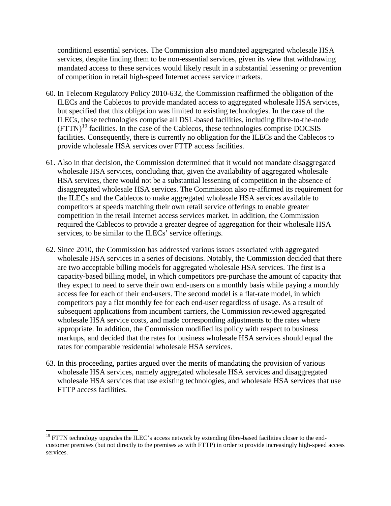conditional essential services. The Commission also mandated aggregated wholesale HSA services, despite finding them to be non-essential services, given its view that withdrawing mandated access to these services would likely result in a substantial lessening or prevention of competition in retail high-speed Internet access service markets.

- 60. In Telecom Regulatory Policy 2010-632, the Commission reaffirmed the obligation of the ILECs and the Cablecos to provide mandated access to aggregated wholesale HSA services, but specified that this obligation was limited to existing technologies. In the case of the ILECs, these technologies comprise all DSL-based facilities, including fibre-to-the-node (FTTN)[19](#page-12-0) facilities. In the case of the Cablecos, these technologies comprise DOCSIS facilities. Consequently, there is currently no obligation for the ILECs and the Cablecos to provide wholesale HSA services over FTTP access facilities.
- 61. Also in that decision, the Commission determined that it would not mandate disaggregated wholesale HSA services, concluding that, given the availability of aggregated wholesale HSA services, there would not be a substantial lessening of competition in the absence of disaggregated wholesale HSA services. The Commission also re-affirmed its requirement for the ILECs and the Cablecos to make aggregated wholesale HSA services available to competitors at speeds matching their own retail service offerings to enable greater competition in the retail Internet access services market. In addition, the Commission required the Cablecos to provide a greater degree of aggregation for their wholesale HSA services, to be similar to the ILECs' service offerings.
- 62. Since 2010, the Commission has addressed various issues associated with aggregated wholesale HSA services in a series of decisions. Notably, the Commission decided that there are two acceptable billing models for aggregated wholesale HSA services. The first is a capacity-based billing model, in which competitors pre-purchase the amount of capacity that they expect to need to serve their own end-users on a monthly basis while paying a monthly access fee for each of their end-users. The second model is a flat-rate model, in which competitors pay a flat monthly fee for each end-user regardless of usage. As a result of subsequent applications from incumbent carriers, the Commission reviewed aggregated wholesale HSA service costs, and made corresponding adjustments to the rates where appropriate. In addition, the Commission modified its policy with respect to business markups, and decided that the rates for business wholesale HSA services should equal the rates for comparable residential wholesale HSA services.
- 63. In this proceeding, parties argued over the merits of mandating the provision of various wholesale HSA services, namely aggregated wholesale HSA services and disaggregated wholesale HSA services that use existing technologies, and wholesale HSA services that use FTTP access facilities.

<span id="page-12-0"></span> $19$  FTTN technology upgrades the ILEC's access network by extending fibre-based facilities closer to the endcustomer premises (but not directly to the premises as with FTTP) in order to provide increasingly high-speed access services.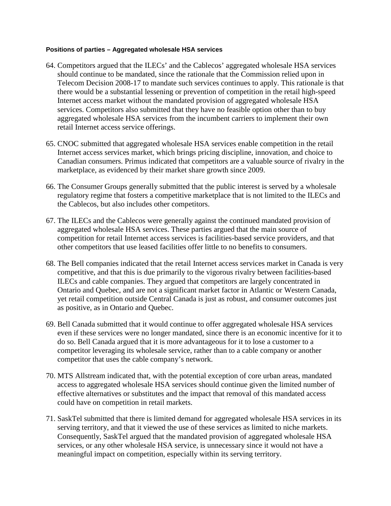#### **Positions of parties – Aggregated wholesale HSA services**

- 64. Competitors argued that the ILECs' and the Cablecos' aggregated wholesale HSA services should continue to be mandated, since the rationale that the Commission relied upon in Telecom Decision 2008-17 to mandate such services continues to apply. This rationale is that there would be a substantial lessening or prevention of competition in the retail high-speed Internet access market without the mandated provision of aggregated wholesale HSA services. Competitors also submitted that they have no feasible option other than to buy aggregated wholesale HSA services from the incumbent carriers to implement their own retail Internet access service offerings.
- 65. CNOC submitted that aggregated wholesale HSA services enable competition in the retail Internet access services market, which brings pricing discipline, innovation, and choice to Canadian consumers. Primus indicated that competitors are a valuable source of rivalry in the marketplace, as evidenced by their market share growth since 2009.
- 66. The Consumer Groups generally submitted that the public interest is served by a wholesale regulatory regime that fosters a competitive marketplace that is not limited to the ILECs and the Cablecos, but also includes other competitors.
- 67. The ILECs and the Cablecos were generally against the continued mandated provision of aggregated wholesale HSA services. These parties argued that the main source of competition for retail Internet access services is facilities-based service providers, and that other competitors that use leased facilities offer little to no benefits to consumers.
- 68. The Bell companies indicated that the retail Internet access services market in Canada is very competitive, and that this is due primarily to the vigorous rivalry between facilities-based ILECs and cable companies. They argued that competitors are largely concentrated in Ontario and Quebec, and are not a significant market factor in Atlantic or Western Canada, yet retail competition outside Central Canada is just as robust, and consumer outcomes just as positive, as in Ontario and Quebec.
- 69. Bell Canada submitted that it would continue to offer aggregated wholesale HSA services even if these services were no longer mandated, since there is an economic incentive for it to do so. Bell Canada argued that it is more advantageous for it to lose a customer to a competitor leveraging its wholesale service, rather than to a cable company or another competitor that uses the cable company's network.
- 70. MTS Allstream indicated that, with the potential exception of core urban areas, mandated access to aggregated wholesale HSA services should continue given the limited number of effective alternatives or substitutes and the impact that removal of this mandated access could have on competition in retail markets.
- 71. SaskTel submitted that there is limited demand for aggregated wholesale HSA services in its serving territory, and that it viewed the use of these services as limited to niche markets. Consequently, SaskTel argued that the mandated provision of aggregated wholesale HSA services, or any other wholesale HSA service, is unnecessary since it would not have a meaningful impact on competition, especially within its serving territory.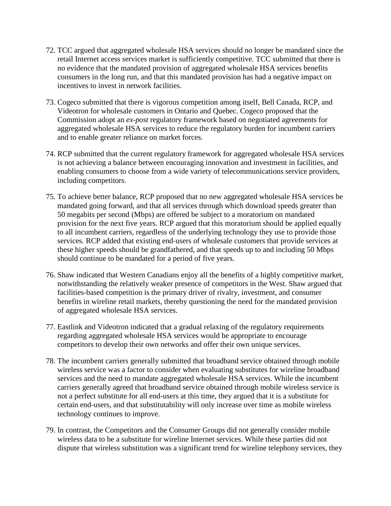- 72. TCC argued that aggregated wholesale HSA services should no longer be mandated since the retail Internet access services market is sufficiently competitive. TCC submitted that there is no evidence that the mandated provision of aggregated wholesale HSA services benefits consumers in the long run, and that this mandated provision has had a negative impact on incentives to invest in network facilities.
- 73. Cogeco submitted that there is vigorous competition among itself, Bell Canada, RCP, and Videotron for wholesale customers in Ontario and Quebec. Cogeco proposed that the Commission adopt an *ex-post* regulatory framework based on negotiated agreements for aggregated wholesale HSA services to reduce the regulatory burden for incumbent carriers and to enable greater reliance on market forces.
- 74. RCP submitted that the current regulatory framework for aggregated wholesale HSA services is not achieving a balance between encouraging innovation and investment in facilities, and enabling consumers to choose from a wide variety of telecommunications service providers, including competitors.
- 75. To achieve better balance, RCP proposed that no new aggregated wholesale HSA services be mandated going forward, and that all services through which download speeds greater than 50 megabits per second (Mbps) are offered be subject to a moratorium on mandated provision for the next five years. RCP argued that this moratorium should be applied equally to all incumbent carriers, regardless of the underlying technology they use to provide those services. RCP added that existing end-users of wholesale customers that provide services at these higher speeds should be grandfathered, and that speeds up to and including 50 Mbps should continue to be mandated for a period of five years.
- 76. Shaw indicated that Western Canadians enjoy all the benefits of a highly competitive market, notwithstanding the relatively weaker presence of competitors in the West. Shaw argued that facilities-based competition is the primary driver of rivalry, investment, and consumer benefits in wireline retail markets, thereby questioning the need for the mandated provision of aggregated wholesale HSA services.
- 77. Eastlink and Videotron indicated that a gradual relaxing of the regulatory requirements regarding aggregated wholesale HSA services would be appropriate to encourage competitors to develop their own networks and offer their own unique services.
- 78. The incumbent carriers generally submitted that broadband service obtained through mobile wireless service was a factor to consider when evaluating substitutes for wireline broadband services and the need to mandate aggregated wholesale HSA services. While the incumbent carriers generally agreed that broadband service obtained through mobile wireless service is not a perfect substitute for all end-users at this time, they argued that it is a substitute for certain end-users, and that substitutability will only increase over time as mobile wireless technology continues to improve.
- 79. In contrast, the Competitors and the Consumer Groups did not generally consider mobile wireless data to be a substitute for wireline Internet services. While these parties did not dispute that wireless substitution was a significant trend for wireline telephony services, they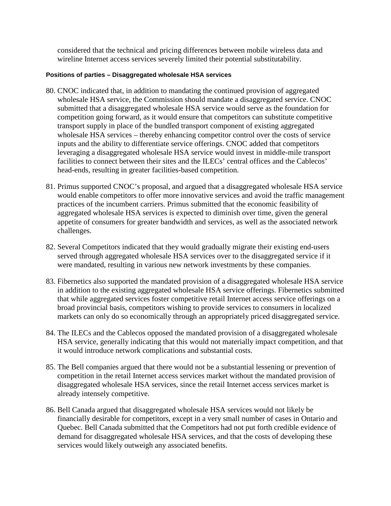considered that the technical and pricing differences between mobile wireless data and wireline Internet access services severely limited their potential substitutability.

#### **Positions of parties – Disaggregated wholesale HSA services**

- 80. CNOC indicated that, in addition to mandating the continued provision of aggregated wholesale HSA service, the Commission should mandate a disaggregated service. CNOC submitted that a disaggregated wholesale HSA service would serve as the foundation for competition going forward, as it would ensure that competitors can substitute competitive transport supply in place of the bundled transport component of existing aggregated wholesale HSA services – thereby enhancing competitor control over the costs of service inputs and the ability to differentiate service offerings. CNOC added that competitors leveraging a disaggregated wholesale HSA service would invest in middle-mile transport facilities to connect between their sites and the ILECs' central offices and the Cablecos' head-ends, resulting in greater facilities-based competition.
- 81. Primus supported CNOC's proposal, and argued that a disaggregated wholesale HSA service would enable competitors to offer more innovative services and avoid the traffic management practices of the incumbent carriers. Primus submitted that the economic feasibility of aggregated wholesale HSA services is expected to diminish over time, given the general appetite of consumers for greater bandwidth and services, as well as the associated network challenges.
- 82. Several Competitors indicated that they would gradually migrate their existing end-users served through aggregated wholesale HSA services over to the disaggregated service if it were mandated, resulting in various new network investments by these companies.
- 83. Fibernetics also supported the mandated provision of a disaggregated wholesale HSA service in addition to the existing aggregated wholesale HSA service offerings. Fibernetics submitted that while aggregated services foster competitive retail Internet access service offerings on a broad provincial basis, competitors wishing to provide services to consumers in localized markets can only do so economically through an appropriately priced disaggregated service.
- 84. The ILECs and the Cablecos opposed the mandated provision of a disaggregated wholesale HSA service, generally indicating that this would not materially impact competition, and that it would introduce network complications and substantial costs.
- 85. The Bell companies argued that there would not be a substantial lessening or prevention of competition in the retail Internet access services market without the mandated provision of disaggregated wholesale HSA services, since the retail Internet access services market is already intensely competitive.
- 86. Bell Canada argued that disaggregated wholesale HSA services would not likely be financially desirable for competitors, except in a very small number of cases in Ontario and Quebec. Bell Canada submitted that the Competitors had not put forth credible evidence of demand for disaggregated wholesale HSA services, and that the costs of developing these services would likely outweigh any associated benefits.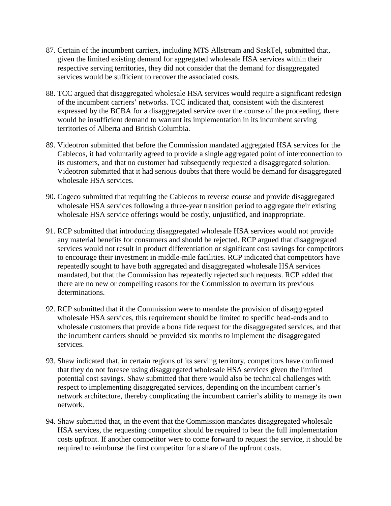- 87. Certain of the incumbent carriers, including MTS Allstream and SaskTel, submitted that, given the limited existing demand for aggregated wholesale HSA services within their respective serving territories, they did not consider that the demand for disaggregated services would be sufficient to recover the associated costs.
- 88. TCC argued that disaggregated wholesale HSA services would require a significant redesign of the incumbent carriers' networks. TCC indicated that, consistent with the disinterest expressed by the BCBA for a disaggregated service over the course of the proceeding, there would be insufficient demand to warrant its implementation in its incumbent serving territories of Alberta and British Columbia.
- 89. Videotron submitted that before the Commission mandated aggregated HSA services for the Cablecos, it had voluntarily agreed to provide a single aggregated point of interconnection to its customers, and that no customer had subsequently requested a disaggregated solution. Videotron submitted that it had serious doubts that there would be demand for disaggregated wholesale HSA services.
- 90. Cogeco submitted that requiring the Cablecos to reverse course and provide disaggregated wholesale HSA services following a three-year transition period to aggregate their existing wholesale HSA service offerings would be costly, unjustified, and inappropriate.
- 91. RCP submitted that introducing disaggregated wholesale HSA services would not provide any material benefits for consumers and should be rejected. RCP argued that disaggregated services would not result in product differentiation or significant cost savings for competitors to encourage their investment in middle-mile facilities. RCP indicated that competitors have repeatedly sought to have both aggregated and disaggregated wholesale HSA services mandated, but that the Commission has repeatedly rejected such requests. RCP added that there are no new or compelling reasons for the Commission to overturn its previous determinations.
- 92. RCP submitted that if the Commission were to mandate the provision of disaggregated wholesale HSA services, this requirement should be limited to specific head-ends and to wholesale customers that provide a bona fide request for the disaggregated services, and that the incumbent carriers should be provided six months to implement the disaggregated services.
- 93. Shaw indicated that, in certain regions of its serving territory, competitors have confirmed that they do not foresee using disaggregated wholesale HSA services given the limited potential cost savings. Shaw submitted that there would also be technical challenges with respect to implementing disaggregated services, depending on the incumbent carrier's network architecture, thereby complicating the incumbent carrier's ability to manage its own network.
- 94. Shaw submitted that, in the event that the Commission mandates disaggregated wholesale HSA services, the requesting competitor should be required to bear the full implementation costs upfront. If another competitor were to come forward to request the service, it should be required to reimburse the first competitor for a share of the upfront costs.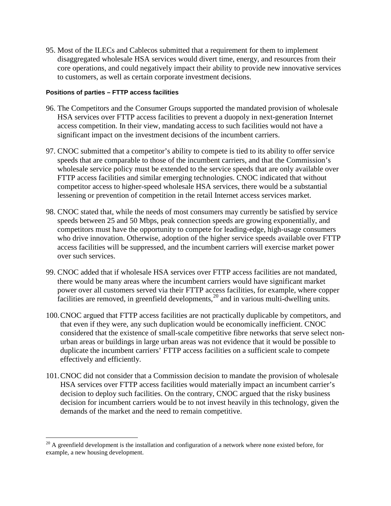95. Most of the ILECs and Cablecos submitted that a requirement for them to implement disaggregated wholesale HSA services would divert time, energy, and resources from their core operations, and could negatively impact their ability to provide new innovative services to customers, as well as certain corporate investment decisions.

#### **Positions of parties – FTTP access facilities**

- 96. The Competitors and the Consumer Groups supported the mandated provision of wholesale HSA services over FTTP access facilities to prevent a duopoly in next-generation Internet access competition. In their view, mandating access to such facilities would not have a significant impact on the investment decisions of the incumbent carriers.
- 97. CNOC submitted that a competitor's ability to compete is tied to its ability to offer service speeds that are comparable to those of the incumbent carriers, and that the Commission's wholesale service policy must be extended to the service speeds that are only available over FTTP access facilities and similar emerging technologies. CNOC indicated that without competitor access to higher-speed wholesale HSA services, there would be a substantial lessening or prevention of competition in the retail Internet access services market.
- 98. CNOC stated that, while the needs of most consumers may currently be satisfied by service speeds between 25 and 50 Mbps, peak connection speeds are growing exponentially, and competitors must have the opportunity to compete for leading-edge, high-usage consumers who drive innovation. Otherwise, adoption of the higher service speeds available over FTTP access facilities will be suppressed, and the incumbent carriers will exercise market power over such services.
- 99. CNOC added that if wholesale HSA services over FTTP access facilities are not mandated, there would be many areas where the incumbent carriers would have significant market power over all customers served via their FTTP access facilities, for example, where copper facilities are removed, in greenfield developments,  $^{20}$  $^{20}$  $^{20}$  and in various multi-dwelling units.
- 100.CNOC argued that FTTP access facilities are not practically duplicable by competitors, and that even if they were, any such duplication would be economically inefficient. CNOC considered that the existence of small-scale competitive fibre networks that serve select nonurban areas or buildings in large urban areas was not evidence that it would be possible to duplicate the incumbent carriers' FTTP access facilities on a sufficient scale to compete effectively and efficiently.
- 101.CNOC did not consider that a Commission decision to mandate the provision of wholesale HSA services over FTTP access facilities would materially impact an incumbent carrier's decision to deploy such facilities. On the contrary, CNOC argued that the risky business decision for incumbent carriers would be to not invest heavily in this technology, given the demands of the market and the need to remain competitive.

<span id="page-17-0"></span> $20$  A greenfield development is the installation and configuration of a network where none existed before, for example, a new housing development.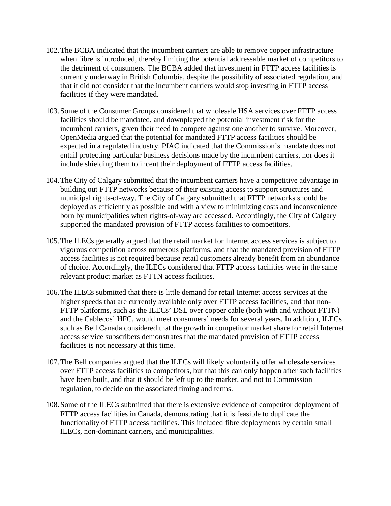- 102.The BCBA indicated that the incumbent carriers are able to remove copper infrastructure when fibre is introduced, thereby limiting the potential addressable market of competitors to the detriment of consumers. The BCBA added that investment in FTTP access facilities is currently underway in British Columbia, despite the possibility of associated regulation, and that it did not consider that the incumbent carriers would stop investing in FTTP access facilities if they were mandated.
- 103.Some of the Consumer Groups considered that wholesale HSA services over FTTP access facilities should be mandated, and downplayed the potential investment risk for the incumbent carriers, given their need to compete against one another to survive. Moreover, OpenMedia argued that the potential for mandated FTTP access facilities should be expected in a regulated industry. PIAC indicated that the Commission's mandate does not entail protecting particular business decisions made by the incumbent carriers, nor does it include shielding them to incent their deployment of FTTP access facilities.
- 104.The City of Calgary submitted that the incumbent carriers have a competitive advantage in building out FTTP networks because of their existing access to support structures and municipal rights-of-way. The City of Calgary submitted that FTTP networks should be deployed as efficiently as possible and with a view to minimizing costs and inconvenience born by municipalities when rights-of-way are accessed. Accordingly, the City of Calgary supported the mandated provision of FTTP access facilities to competitors.
- 105.The ILECs generally argued that the retail market for Internet access services is subject to vigorous competition across numerous platforms, and that the mandated provision of FTTP access facilities is not required because retail customers already benefit from an abundance of choice. Accordingly, the ILECs considered that FTTP access facilities were in the same relevant product market as FTTN access facilities.
- 106.The ILECs submitted that there is little demand for retail Internet access services at the higher speeds that are currently available only over FTTP access facilities, and that non-FTTP platforms, such as the ILECs' DSL over copper cable (both with and without FTTN) and the Cablecos' HFC, would meet consumers' needs for several years. In addition, ILECs such as Bell Canada considered that the growth in competitor market share for retail Internet access service subscribers demonstrates that the mandated provision of FTTP access facilities is not necessary at this time.
- 107.The Bell companies argued that the ILECs will likely voluntarily offer wholesale services over FTTP access facilities to competitors, but that this can only happen after such facilities have been built, and that it should be left up to the market, and not to Commission regulation, to decide on the associated timing and terms.
- 108.Some of the ILECs submitted that there is extensive evidence of competitor deployment of FTTP access facilities in Canada, demonstrating that it is feasible to duplicate the functionality of FTTP access facilities. This included fibre deployments by certain small ILECs, non-dominant carriers, and municipalities.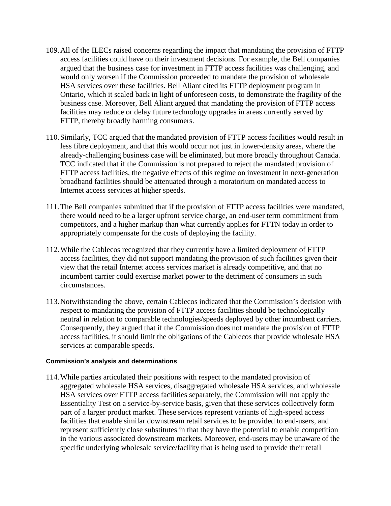- 109.All of the ILECs raised concerns regarding the impact that mandating the provision of FTTP access facilities could have on their investment decisions. For example, the Bell companies argued that the business case for investment in FTTP access facilities was challenging, and would only worsen if the Commission proceeded to mandate the provision of wholesale HSA services over these facilities. Bell Aliant cited its FTTP deployment program in Ontario, which it scaled back in light of unforeseen costs, to demonstrate the fragility of the business case. Moreover, Bell Aliant argued that mandating the provision of FTTP access facilities may reduce or delay future technology upgrades in areas currently served by FTTP, thereby broadly harming consumers.
- 110.Similarly, TCC argued that the mandated provision of FTTP access facilities would result in less fibre deployment, and that this would occur not just in lower-density areas, where the already-challenging business case will be eliminated, but more broadly throughout Canada. TCC indicated that if the Commission is not prepared to reject the mandated provision of FTTP access facilities, the negative effects of this regime on investment in next-generation broadband facilities should be attenuated through a moratorium on mandated access to Internet access services at higher speeds.
- 111.The Bell companies submitted that if the provision of FTTP access facilities were mandated, there would need to be a larger upfront service charge, an end-user term commitment from competitors, and a higher markup than what currently applies for FTTN today in order to appropriately compensate for the costs of deploying the facility.
- 112.While the Cablecos recognized that they currently have a limited deployment of FTTP access facilities, they did not support mandating the provision of such facilities given their view that the retail Internet access services market is already competitive, and that no incumbent carrier could exercise market power to the detriment of consumers in such circumstances.
- 113.Notwithstanding the above, certain Cablecos indicated that the Commission's decision with respect to mandating the provision of FTTP access facilities should be technologically neutral in relation to comparable technologies/speeds deployed by other incumbent carriers. Consequently, they argued that if the Commission does not mandate the provision of FTTP access facilities, it should limit the obligations of the Cablecos that provide wholesale HSA services at comparable speeds.

#### **Commission's analysis and determinations**

114.While parties articulated their positions with respect to the mandated provision of aggregated wholesale HSA services, disaggregated wholesale HSA services, and wholesale HSA services over FTTP access facilities separately, the Commission will not apply the Essentiality Test on a service-by-service basis, given that these services collectively form part of a larger product market. These services represent variants of high-speed access facilities that enable similar downstream retail services to be provided to end-users, and represent sufficiently close substitutes in that they have the potential to enable competition in the various associated downstream markets. Moreover, end-users may be unaware of the specific underlying wholesale service/facility that is being used to provide their retail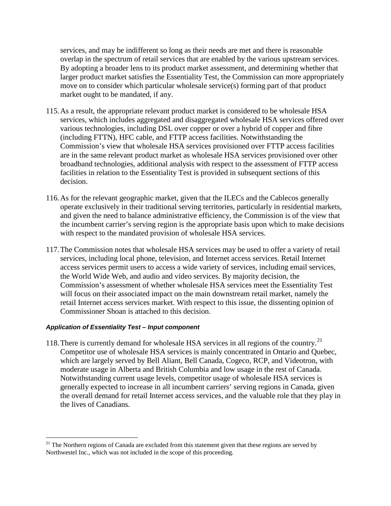services, and may be indifferent so long as their needs are met and there is reasonable overlap in the spectrum of retail services that are enabled by the various upstream services. By adopting a broader lens to its product market assessment, and determining whether that larger product market satisfies the Essentiality Test, the Commission can more appropriately move on to consider which particular wholesale service(s) forming part of that product market ought to be mandated, if any.

- 115.As a result, the appropriate relevant product market is considered to be wholesale HSA services, which includes aggregated and disaggregated wholesale HSA services offered over various technologies, including DSL over copper or over a hybrid of copper and fibre (including FTTN), HFC cable, and FTTP access facilities. Notwithstanding the Commission's view that wholesale HSA services provisioned over FTTP access facilities are in the same relevant product market as wholesale HSA services provisioned over other broadband technologies, additional analysis with respect to the assessment of FTTP access facilities in relation to the Essentiality Test is provided in subsequent sections of this decision.
- 116.As for the relevant geographic market, given that the ILECs and the Cablecos generally operate exclusively in their traditional serving territories, particularly in residential markets, and given the need to balance administrative efficiency, the Commission is of the view that the incumbent carrier's serving region is the appropriate basis upon which to make decisions with respect to the mandated provision of wholesale HSA services.
- 117.The Commission notes that wholesale HSA services may be used to offer a variety of retail services, including local phone, television, and Internet access services. Retail Internet access services permit users to access a wide variety of services, including email services, the World Wide Web, and audio and video services. By majority decision, the Commission's assessment of whether wholesale HSA services meet the Essentiality Test will focus on their associated impact on the main downstream retail market, namely the retail Internet access services market. With respect to this issue, the dissenting opinion of Commissioner Shoan is attached to this decision.

#### *Application of Essentiality Test – Input component*

118. There is currently demand for wholesale HSA services in all regions of the country.<sup>[21](#page-20-0)</sup> Competitor use of wholesale HSA services is mainly concentrated in Ontario and Quebec, which are largely served by Bell Aliant, Bell Canada, Cogeco, RCP, and Videotron, with moderate usage in Alberta and British Columbia and low usage in the rest of Canada. Notwithstanding current usage levels, competitor usage of wholesale HSA services is generally expected to increase in all incumbent carriers' serving regions in Canada, given the overall demand for retail Internet access services, and the valuable role that they play in the lives of Canadians.

<span id="page-20-0"></span> $21$  The Northern regions of Canada are excluded from this statement given that these regions are served by Northwestel Inc., which was not included in the scope of this proceeding.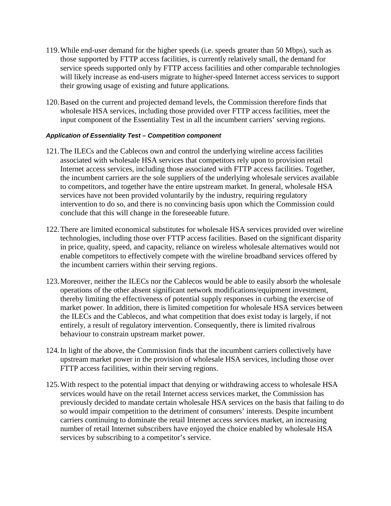- 119.While end-user demand for the higher speeds (i.e. speeds greater than 50 Mbps), such as those supported by FTTP access facilities, is currently relatively small, the demand for service speeds supported only by FTTP access facilities and other comparable technologies will likely increase as end-users migrate to higher-speed Internet access services to support their growing usage of existing and future applications.
- 120.Based on the current and projected demand levels, the Commission therefore finds that wholesale HSA services, including those provided over FTTP access facilities, meet the input component of the Essentiality Test in all the incumbent carriers' serving regions.

#### *Application of Essentiality Test – Competition component*

- 121.The ILECs and the Cablecos own and control the underlying wireline access facilities associated with wholesale HSA services that competitors rely upon to provision retail Internet access services, including those associated with FTTP access facilities. Together, the incumbent carriers are the sole suppliers of the underlying wholesale services available to competitors, and together have the entire upstream market. In general, wholesale HSA services have not been provided voluntarily by the industry, requiring regulatory intervention to do so, and there is no convincing basis upon which the Commission could conclude that this will change in the foreseeable future.
- 122.There are limited economical substitutes for wholesale HSA services provided over wireline technologies, including those over FTTP access facilities. Based on the significant disparity in price, quality, speed, and capacity, reliance on wireless wholesale alternatives would not enable competitors to effectively compete with the wireline broadband services offered by the incumbent carriers within their serving regions.
- 123.Moreover, neither the ILECs nor the Cablecos would be able to easily absorb the wholesale operations of the other absent significant network modifications/equipment investment, thereby limiting the effectiveness of potential supply responses in curbing the exercise of market power. In addition, there is limited competition for wholesale HSA services between the ILECs and the Cablecos, and what competition that does exist today is largely, if not entirely, a result of regulatory intervention. Consequently, there is limited rivalrous behaviour to constrain upstream market power.
- 124.In light of the above, the Commission finds that the incumbent carriers collectively have upstream market power in the provision of wholesale HSA services, including those over FTTP access facilities, within their serving regions.
- 125.With respect to the potential impact that denying or withdrawing access to wholesale HSA services would have on the retail Internet access services market, the Commission has previously decided to mandate certain wholesale HSA services on the basis that failing to do so would impair competition to the detriment of consumers' interests. Despite incumbent carriers continuing to dominate the retail Internet access services market, an increasing number of retail Internet subscribers have enjoyed the choice enabled by wholesale HSA services by subscribing to a competitor's service.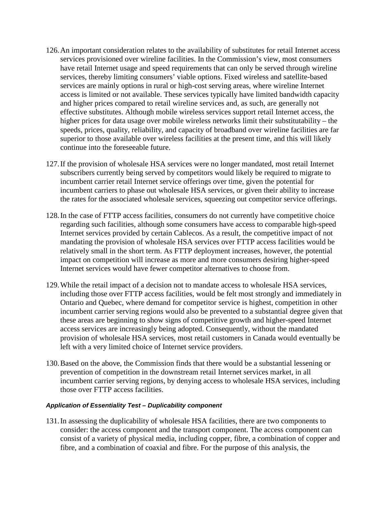- 126.An important consideration relates to the availability of substitutes for retail Internet access services provisioned over wireline facilities. In the Commission's view, most consumers have retail Internet usage and speed requirements that can only be served through wireline services, thereby limiting consumers' viable options. Fixed wireless and satellite-based services are mainly options in rural or high-cost serving areas, where wireline Internet access is limited or not available. These services typically have limited bandwidth capacity and higher prices compared to retail wireline services and, as such, are generally not effective substitutes. Although mobile wireless services support retail Internet access, the higher prices for data usage over mobile wireless networks limit their substitutability – the speeds, prices, quality, reliability, and capacity of broadband over wireline facilities are far superior to those available over wireless facilities at the present time, and this will likely continue into the foreseeable future.
- 127.If the provision of wholesale HSA services were no longer mandated, most retail Internet subscribers currently being served by competitors would likely be required to migrate to incumbent carrier retail Internet service offerings over time, given the potential for incumbent carriers to phase out wholesale HSA services, or given their ability to increase the rates for the associated wholesale services, squeezing out competitor service offerings.
- 128.In the case of FTTP access facilities, consumers do not currently have competitive choice regarding such facilities, although some consumers have access to comparable high-speed Internet services provided by certain Cablecos. As a result, the competitive impact of not mandating the provision of wholesale HSA services over FTTP access facilities would be relatively small in the short term. As FTTP deployment increases, however, the potential impact on competition will increase as more and more consumers desiring higher-speed Internet services would have fewer competitor alternatives to choose from.
- 129.While the retail impact of a decision not to mandate access to wholesale HSA services, including those over FTTP access facilities, would be felt most strongly and immediately in Ontario and Quebec, where demand for competitor service is highest, competition in other incumbent carrier serving regions would also be prevented to a substantial degree given that these areas are beginning to show signs of competitive growth and higher-speed Internet access services are increasingly being adopted. Consequently, without the mandated provision of wholesale HSA services, most retail customers in Canada would eventually be left with a very limited choice of Internet service providers.
- 130.Based on the above, the Commission finds that there would be a substantial lessening or prevention of competition in the downstream retail Internet services market, in all incumbent carrier serving regions, by denying access to wholesale HSA services, including those over FTTP access facilities.

#### *Application of Essentiality Test – Duplicability component*

131.In assessing the duplicability of wholesale HSA facilities, there are two components to consider: the access component and the transport component. The access component can consist of a variety of physical media, including copper, fibre, a combination of copper and fibre, and a combination of coaxial and fibre. For the purpose of this analysis, the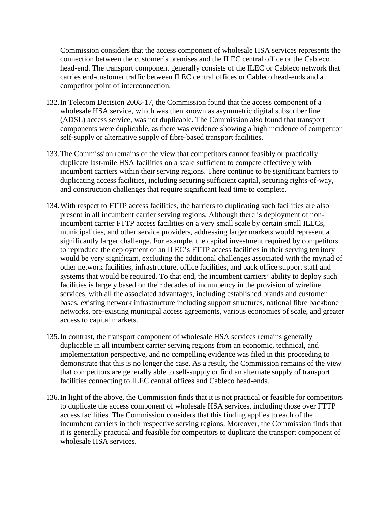Commission considers that the access component of wholesale HSA services represents the connection between the customer's premises and the ILEC central office or the Cableco head-end. The transport component generally consists of the ILEC or Cableco network that carries end-customer traffic between ILEC central offices or Cableco head-ends and a competitor point of interconnection.

- 132.In Telecom Decision 2008-17, the Commission found that the access component of a wholesale HSA service, which was then known as asymmetric digital subscriber line (ADSL) access service, was not duplicable. The Commission also found that transport components were duplicable, as there was evidence showing a high incidence of competitor self-supply or alternative supply of fibre-based transport facilities.
- 133.The Commission remains of the view that competitors cannot feasibly or practically duplicate last-mile HSA facilities on a scale sufficient to compete effectively with incumbent carriers within their serving regions. There continue to be significant barriers to duplicating access facilities, including securing sufficient capital, securing rights-of-way, and construction challenges that require significant lead time to complete.
- 134.With respect to FTTP access facilities, the barriers to duplicating such facilities are also present in all incumbent carrier serving regions. Although there is deployment of nonincumbent carrier FTTP access facilities on a very small scale by certain small ILECs, municipalities, and other service providers, addressing larger markets would represent a significantly larger challenge. For example, the capital investment required by competitors to reproduce the deployment of an ILEC's FTTP access facilities in their serving territory would be very significant, excluding the additional challenges associated with the myriad of other network facilities, infrastructure, office facilities, and back office support staff and systems that would be required. To that end, the incumbent carriers' ability to deploy such facilities is largely based on their decades of incumbency in the provision of wireline services, with all the associated advantages, including established brands and customer bases, existing network infrastructure including support structures, national fibre backbone networks, pre-existing municipal access agreements, various economies of scale, and greater access to capital markets.
- 135.In contrast, the transport component of wholesale HSA services remains generally duplicable in all incumbent carrier serving regions from an economic, technical, and implementation perspective, and no compelling evidence was filed in this proceeding to demonstrate that this is no longer the case. As a result, the Commission remains of the view that competitors are generally able to self-supply or find an alternate supply of transport facilities connecting to ILEC central offices and Cableco head-ends.
- 136.In light of the above, the Commission finds that it is not practical or feasible for competitors to duplicate the access component of wholesale HSA services, including those over FTTP access facilities. The Commission considers that this finding applies to each of the incumbent carriers in their respective serving regions. Moreover, the Commission finds that it is generally practical and feasible for competitors to duplicate the transport component of wholesale HSA services.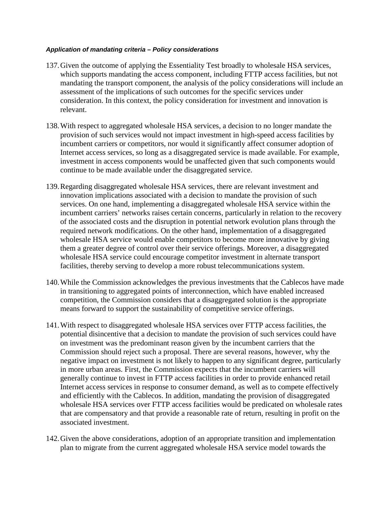#### *Application of mandating criteria – Policy considerations*

- 137.Given the outcome of applying the Essentiality Test broadly to wholesale HSA services, which supports mandating the access component, including FTTP access facilities, but not mandating the transport component, the analysis of the policy considerations will include an assessment of the implications of such outcomes for the specific services under consideration. In this context, the policy consideration for investment and innovation is relevant.
- 138.With respect to aggregated wholesale HSA services, a decision to no longer mandate the provision of such services would not impact investment in high-speed access facilities by incumbent carriers or competitors, nor would it significantly affect consumer adoption of Internet access services, so long as a disaggregated service is made available. For example, investment in access components would be unaffected given that such components would continue to be made available under the disaggregated service.
- 139.Regarding disaggregated wholesale HSA services, there are relevant investment and innovation implications associated with a decision to mandate the provision of such services. On one hand, implementing a disaggregated wholesale HSA service within the incumbent carriers' networks raises certain concerns, particularly in relation to the recovery of the associated costs and the disruption in potential network evolution plans through the required network modifications. On the other hand, implementation of a disaggregated wholesale HSA service would enable competitors to become more innovative by giving them a greater degree of control over their service offerings. Moreover, a disaggregated wholesale HSA service could encourage competitor investment in alternate transport facilities, thereby serving to develop a more robust telecommunications system.
- 140.While the Commission acknowledges the previous investments that the Cablecos have made in transitioning to aggregated points of interconnection, which have enabled increased competition, the Commission considers that a disaggregated solution is the appropriate means forward to support the sustainability of competitive service offerings.
- 141.With respect to disaggregated wholesale HSA services over FTTP access facilities, the potential disincentive that a decision to mandate the provision of such services could have on investment was the predominant reason given by the incumbent carriers that the Commission should reject such a proposal. There are several reasons, however, why the negative impact on investment is not likely to happen to any significant degree, particularly in more urban areas. First, the Commission expects that the incumbent carriers will generally continue to invest in FTTP access facilities in order to provide enhanced retail Internet access services in response to consumer demand, as well as to compete effectively and efficiently with the Cablecos. In addition, mandating the provision of disaggregated wholesale HSA services over FTTP access facilities would be predicated on wholesale rates that are compensatory and that provide a reasonable rate of return, resulting in profit on the associated investment.
- 142.Given the above considerations, adoption of an appropriate transition and implementation plan to migrate from the current aggregated wholesale HSA service model towards the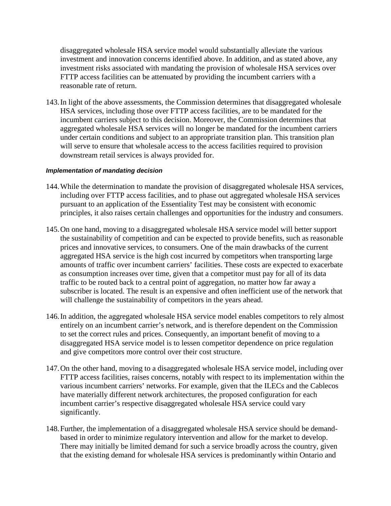disaggregated wholesale HSA service model would substantially alleviate the various investment and innovation concerns identified above. In addition, and as stated above, any investment risks associated with mandating the provision of wholesale HSA services over FTTP access facilities can be attenuated by providing the incumbent carriers with a reasonable rate of return.

143.In light of the above assessments, the Commission determines that disaggregated wholesale HSA services, including those over FTTP access facilities, are to be mandated for the incumbent carriers subject to this decision. Moreover, the Commission determines that aggregated wholesale HSA services will no longer be mandated for the incumbent carriers under certain conditions and subject to an appropriate transition plan. This transition plan will serve to ensure that wholesale access to the access facilities required to provision downstream retail services is always provided for.

#### *Implementation of mandating decision*

- 144.While the determination to mandate the provision of disaggregated wholesale HSA services, including over FTTP access facilities, and to phase out aggregated wholesale HSA services pursuant to an application of the Essentiality Test may be consistent with economic principles, it also raises certain challenges and opportunities for the industry and consumers.
- 145.On one hand, moving to a disaggregated wholesale HSA service model will better support the sustainability of competition and can be expected to provide benefits, such as reasonable prices and innovative services, to consumers. One of the main drawbacks of the current aggregated HSA service is the high cost incurred by competitors when transporting large amounts of traffic over incumbent carriers' facilities. These costs are expected to exacerbate as consumption increases over time, given that a competitor must pay for all of its data traffic to be routed back to a central point of aggregation, no matter how far away a subscriber is located. The result is an expensive and often inefficient use of the network that will challenge the sustainability of competitors in the years ahead.
- 146.In addition, the aggregated wholesale HSA service model enables competitors to rely almost entirely on an incumbent carrier's network, and is therefore dependent on the Commission to set the correct rules and prices. Consequently, an important benefit of moving to a disaggregated HSA service model is to lessen competitor dependence on price regulation and give competitors more control over their cost structure.
- 147.On the other hand, moving to a disaggregated wholesale HSA service model, including over FTTP access facilities, raises concerns, notably with respect to its implementation within the various incumbent carriers' networks. For example, given that the ILECs and the Cablecos have materially different network architectures, the proposed configuration for each incumbent carrier's respective disaggregated wholesale HSA service could vary significantly.
- 148.Further, the implementation of a disaggregated wholesale HSA service should be demandbased in order to minimize regulatory intervention and allow for the market to develop. There may initially be limited demand for such a service broadly across the country, given that the existing demand for wholesale HSA services is predominantly within Ontario and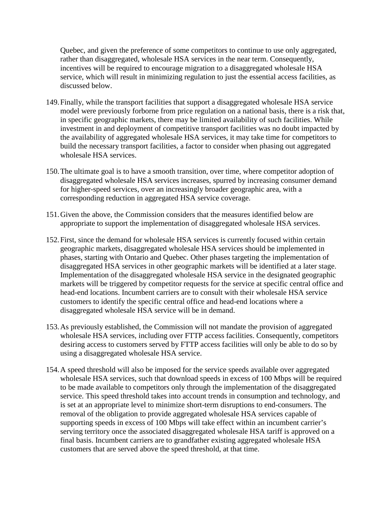Quebec, and given the preference of some competitors to continue to use only aggregated, rather than disaggregated, wholesale HSA services in the near term. Consequently, incentives will be required to encourage migration to a disaggregated wholesale HSA service, which will result in minimizing regulation to just the essential access facilities, as discussed below.

- 149.Finally, while the transport facilities that support a disaggregated wholesale HSA service model were previously forborne from price regulation on a national basis, there is a risk that, in specific geographic markets, there may be limited availability of such facilities. While investment in and deployment of competitive transport facilities was no doubt impacted by the availability of aggregated wholesale HSA services, it may take time for competitors to build the necessary transport facilities, a factor to consider when phasing out aggregated wholesale HSA services.
- 150.The ultimate goal is to have a smooth transition, over time, where competitor adoption of disaggregated wholesale HSA services increases, spurred by increasing consumer demand for higher-speed services, over an increasingly broader geographic area, with a corresponding reduction in aggregated HSA service coverage.
- 151.Given the above, the Commission considers that the measures identified below are appropriate to support the implementation of disaggregated wholesale HSA services.
- 152.First, since the demand for wholesale HSA services is currently focused within certain geographic markets, disaggregated wholesale HSA services should be implemented in phases, starting with Ontario and Quebec. Other phases targeting the implementation of disaggregated HSA services in other geographic markets will be identified at a later stage. Implementation of the disaggregated wholesale HSA service in the designated geographic markets will be triggered by competitor requests for the service at specific central office and head-end locations. Incumbent carriers are to consult with their wholesale HSA service customers to identify the specific central office and head-end locations where a disaggregated wholesale HSA service will be in demand.
- 153.As previously established, the Commission will not mandate the provision of aggregated wholesale HSA services, including over FTTP access facilities. Consequently, competitors desiring access to customers served by FTTP access facilities will only be able to do so by using a disaggregated wholesale HSA service.
- 154.A speed threshold will also be imposed for the service speeds available over aggregated wholesale HSA services, such that download speeds in excess of 100 Mbps will be required to be made available to competitors only through the implementation of the disaggregated service. This speed threshold takes into account trends in consumption and technology, and is set at an appropriate level to minimize short-term disruptions to end-consumers. The removal of the obligation to provide aggregated wholesale HSA services capable of supporting speeds in excess of 100 Mbps will take effect within an incumbent carrier's serving territory once the associated disaggregated wholesale HSA tariff is approved on a final basis. Incumbent carriers are to grandfather existing aggregated wholesale HSA customers that are served above the speed threshold, at that time.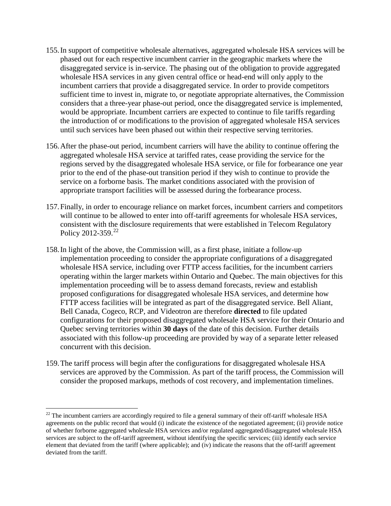- 155.In support of competitive wholesale alternatives, aggregated wholesale HSA services will be phased out for each respective incumbent carrier in the geographic markets where the disaggregated service is in-service. The phasing out of the obligation to provide aggregated wholesale HSA services in any given central office or head-end will only apply to the incumbent carriers that provide a disaggregated service. In order to provide competitors sufficient time to invest in, migrate to, or negotiate appropriate alternatives, the Commission considers that a three-year phase-out period, once the disaggregated service is implemented, would be appropriate. Incumbent carriers are expected to continue to file tariffs regarding the introduction of or modifications to the provision of aggregated wholesale HSA services until such services have been phased out within their respective serving territories.
- 156.After the phase-out period, incumbent carriers will have the ability to continue offering the aggregated wholesale HSA service at tariffed rates, cease providing the service for the regions served by the disaggregated wholesale HSA service, or file for forbearance one year prior to the end of the phase-out transition period if they wish to continue to provide the service on a forborne basis. The market conditions associated with the provision of appropriate transport facilities will be assessed during the forbearance process.
- 157.Finally, in order to encourage reliance on market forces, incumbent carriers and competitors will continue to be allowed to enter into off-tariff agreements for wholesale HSA services, consistent with the disclosure requirements that were established in Telecom Regulatory Policy 2012-359. $^{22}$  $^{22}$  $^{22}$
- 158.In light of the above, the Commission will, as a first phase, initiate a follow-up implementation proceeding to consider the appropriate configurations of a disaggregated wholesale HSA service, including over FTTP access facilities, for the incumbent carriers operating within the larger markets within Ontario and Quebec. The main objectives for this implementation proceeding will be to assess demand forecasts, review and establish proposed configurations for disaggregated wholesale HSA services, and determine how FTTP access facilities will be integrated as part of the disaggregated service. Bell Aliant, Bell Canada, Cogeco, RCP, and Videotron are therefore **directed** to file updated configurations for their proposed disaggregated wholesale HSA service for their Ontario and Quebec serving territories within **30 days** of the date of this decision. Further details associated with this follow-up proceeding are provided by way of a separate letter released concurrent with this decision.
- 159.The tariff process will begin after the configurations for disaggregated wholesale HSA services are approved by the Commission. As part of the tariff process, the Commission will consider the proposed markups, methods of cost recovery, and implementation timelines.

<span id="page-27-0"></span><sup>&</sup>lt;sup>22</sup> The incumbent carriers are accordingly required to file a general summary of their off-tariff wholesale HSA agreements on the public record that would  $(i)$  indicate the existence of the negotiated agreement; (ii) provide notice of whether forborne aggregated wholesale HSA services and/or regulated aggregated/disaggregated wholesale HSA services are subject to the off-tariff agreement, without identifying the specific services; (iii) identify each service element that deviated from the tariff (where applicable); and (iv) indicate the reasons that the off-tariff agreement deviated from the tariff.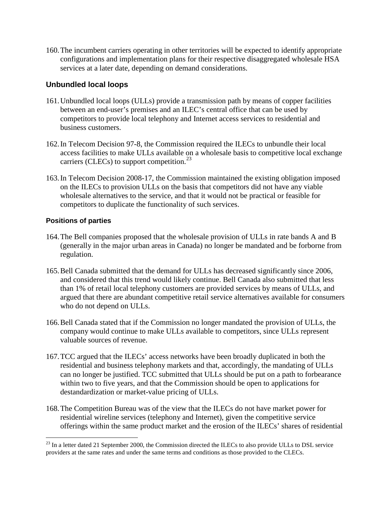160.The incumbent carriers operating in other territories will be expected to identify appropriate configurations and implementation plans for their respective disaggregated wholesale HSA services at a later date, depending on demand considerations.

# **Unbundled local loops**

- 161.Unbundled local loops (ULLs) provide a transmission path by means of copper facilities between an end-user's premises and an ILEC's central office that can be used by competitors to provide local telephony and Internet access services to residential and business customers.
- 162.In Telecom Decision 97-8, the Commission required the ILECs to unbundle their local access facilities to make ULLs available on a wholesale basis to competitive local exchange carriers (CLECs) to support competition. $^{23}$  $^{23}$  $^{23}$
- 163.In Telecom Decision 2008-17, the Commission maintained the existing obligation imposed on the ILECs to provision ULLs on the basis that competitors did not have any viable wholesale alternatives to the service, and that it would not be practical or feasible for competitors to duplicate the functionality of such services.

### **Positions of parties**

- 164.The Bell companies proposed that the wholesale provision of ULLs in rate bands A and B (generally in the major urban areas in Canada) no longer be mandated and be forborne from regulation.
- 165.Bell Canada submitted that the demand for ULLs has decreased significantly since 2006, and considered that this trend would likely continue. Bell Canada also submitted that less than 1% of retail local telephony customers are provided services by means of ULLs, and argued that there are abundant competitive retail service alternatives available for consumers who do not depend on ULLs.
- 166.Bell Canada stated that if the Commission no longer mandated the provision of ULLs, the company would continue to make ULLs available to competitors, since ULLs represent valuable sources of revenue.
- 167.TCC argued that the ILECs' access networks have been broadly duplicated in both the residential and business telephony markets and that, accordingly, the mandating of ULLs can no longer be justified. TCC submitted that ULLs should be put on a path to forbearance within two to five years, and that the Commission should be open to applications for destandardization or market-value pricing of ULLs.
- 168.The Competition Bureau was of the view that the ILECs do not have market power for residential wireline services (telephony and Internet), given the competitive service offerings within the same product market and the erosion of the ILECs' shares of residential

<span id="page-28-0"></span><sup>&</sup>lt;sup>23</sup> In a letter dated 21 September 2000, the Commission directed the ILECs to also provide ULLs to DSL service providers at the same rates and under the same terms and conditions as those provided to the CLECs.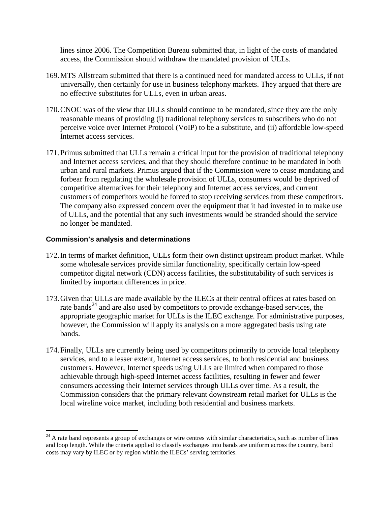lines since 2006. The Competition Bureau submitted that, in light of the costs of mandated access, the Commission should withdraw the mandated provision of ULLs.

- 169.MTS Allstream submitted that there is a continued need for mandated access to ULLs, if not universally, then certainly for use in business telephony markets. They argued that there are no effective substitutes for ULLs, even in urban areas.
- 170.CNOC was of the view that ULLs should continue to be mandated, since they are the only reasonable means of providing (i) traditional telephony services to subscribers who do not perceive voice over Internet Protocol (VoIP) to be a substitute, and (ii) affordable low-speed Internet access services.
- 171.Primus submitted that ULLs remain a critical input for the provision of traditional telephony and Internet access services, and that they should therefore continue to be mandated in both urban and rural markets. Primus argued that if the Commission were to cease mandating and forbear from regulating the wholesale provision of ULLs, consumers would be deprived of competitive alternatives for their telephony and Internet access services, and current customers of competitors would be forced to stop receiving services from these competitors. The company also expressed concern over the equipment that it had invested in to make use of ULLs, and the potential that any such investments would be stranded should the service no longer be mandated.

#### **Commission's analysis and determinations**

- 172.In terms of market definition, ULLs form their own distinct upstream product market. While some wholesale services provide similar functionality, specifically certain low-speed competitor digital network (CDN) access facilities, the substitutability of such services is limited by important differences in price.
- 173.Given that ULLs are made available by the ILECs at their central offices at rates based on rate bands<sup>[24](#page-29-0)</sup> and are also used by competitors to provide exchange-based services, the appropriate geographic market for ULLs is the ILEC exchange. For administrative purposes, however, the Commission will apply its analysis on a more aggregated basis using rate bands.
- 174.Finally, ULLs are currently being used by competitors primarily to provide local telephony services, and to a lesser extent, Internet access services, to both residential and business customers. However, Internet speeds using ULLs are limited when compared to those achievable through high-speed Internet access facilities, resulting in fewer and fewer consumers accessing their Internet services through ULLs over time. As a result, the Commission considers that the primary relevant downstream retail market for ULLs is the local wireline voice market, including both residential and business markets.

<span id="page-29-0"></span> $24$  A rate band represents a group of exchanges or wire centres with similar characteristics, such as number of lines and loop length. While the criteria applied to classify exchanges into bands are uniform across the country, band costs may vary by ILEC or by region within the ILECs' serving territories.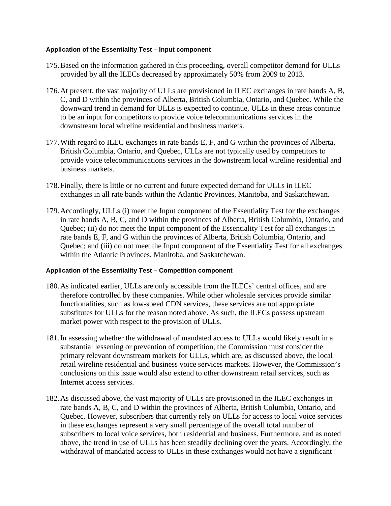#### **Application of the Essentiality Test – Input component**

- 175.Based on the information gathered in this proceeding, overall competitor demand for ULLs provided by all the ILECs decreased by approximately 50% from 2009 to 2013.
- 176.At present, the vast majority of ULLs are provisioned in ILEC exchanges in rate bands A, B, C, and D within the provinces of Alberta, British Columbia, Ontario, and Quebec. While the downward trend in demand for ULLs is expected to continue, ULLs in these areas continue to be an input for competitors to provide voice telecommunications services in the downstream local wireline residential and business markets.
- 177.With regard to ILEC exchanges in rate bands E, F, and G within the provinces of Alberta, British Columbia, Ontario, and Quebec, ULLs are not typically used by competitors to provide voice telecommunications services in the downstream local wireline residential and business markets.
- 178.Finally, there is little or no current and future expected demand for ULLs in ILEC exchanges in all rate bands within the Atlantic Provinces, Manitoba, and Saskatchewan.
- 179.Accordingly, ULLs (i) meet the Input component of the Essentiality Test for the exchanges in rate bands A, B, C, and D within the provinces of Alberta, British Columbia, Ontario, and Quebec; (ii) do not meet the Input component of the Essentiality Test for all exchanges in rate bands E, F, and G within the provinces of Alberta, British Columbia, Ontario, and Quebec; and (iii) do not meet the Input component of the Essentiality Test for all exchanges within the Atlantic Provinces, Manitoba, and Saskatchewan.

#### **Application of the Essentiality Test – Competition component**

- 180.As indicated earlier, ULLs are only accessible from the ILECs' central offices, and are therefore controlled by these companies. While other wholesale services provide similar functionalities, such as low-speed CDN services, these services are not appropriate substitutes for ULLs for the reason noted above. As such, the ILECs possess upstream market power with respect to the provision of ULLs.
- 181.In assessing whether the withdrawal of mandated access to ULLs would likely result in a substantial lessening or prevention of competition, the Commission must consider the primary relevant downstream markets for ULLs, which are, as discussed above, the local retail wireline residential and business voice services markets. However, the Commission's conclusions on this issue would also extend to other downstream retail services, such as Internet access services.
- 182.As discussed above, the vast majority of ULLs are provisioned in the ILEC exchanges in rate bands A, B, C, and D within the provinces of Alberta, British Columbia, Ontario, and Quebec. However, subscribers that currently rely on ULLs for access to local voice services in these exchanges represent a very small percentage of the overall total number of subscribers to local voice services, both residential and business. Furthermore, and as noted above, the trend in use of ULLs has been steadily declining over the years. Accordingly, the withdrawal of mandated access to ULLs in these exchanges would not have a significant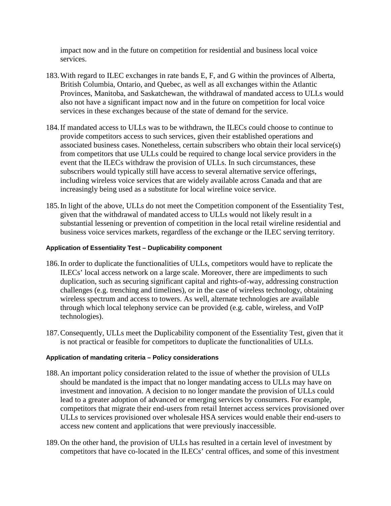impact now and in the future on competition for residential and business local voice services.

- 183.With regard to ILEC exchanges in rate bands E, F, and G within the provinces of Alberta, British Columbia, Ontario, and Quebec, as well as all exchanges within the Atlantic Provinces, Manitoba, and Saskatchewan, the withdrawal of mandated access to ULLs would also not have a significant impact now and in the future on competition for local voice services in these exchanges because of the state of demand for the service.
- 184.If mandated access to ULLs was to be withdrawn, the ILECs could choose to continue to provide competitors access to such services, given their established operations and associated business cases. Nonetheless, certain subscribers who obtain their local service(s) from competitors that use ULLs could be required to change local service providers in the event that the ILECs withdraw the provision of ULLs. In such circumstances, these subscribers would typically still have access to several alternative service offerings, including wireless voice services that are widely available across Canada and that are increasingly being used as a substitute for local wireline voice service.
- 185.In light of the above, ULLs do not meet the Competition component of the Essentiality Test, given that the withdrawal of mandated access to ULLs would not likely result in a substantial lessening or prevention of competition in the local retail wireline residential and business voice services markets, regardless of the exchange or the ILEC serving territory.

#### **Application of Essentiality Test – Duplicability component**

- 186.In order to duplicate the functionalities of ULLs, competitors would have to replicate the ILECs' local access network on a large scale. Moreover, there are impediments to such duplication, such as securing significant capital and rights-of-way, addressing construction challenges (e.g. trenching and timelines), or in the case of wireless technology, obtaining wireless spectrum and access to towers. As well, alternate technologies are available through which local telephony service can be provided (e.g. cable, wireless, and VoIP technologies).
- 187.Consequently, ULLs meet the Duplicability component of the Essentiality Test, given that it is not practical or feasible for competitors to duplicate the functionalities of ULLs.

#### **Application of mandating criteria – Policy considerations**

- 188.An important policy consideration related to the issue of whether the provision of ULLs should be mandated is the impact that no longer mandating access to ULLs may have on investment and innovation. A decision to no longer mandate the provision of ULLs could lead to a greater adoption of advanced or emerging services by consumers. For example, competitors that migrate their end-users from retail Internet access services provisioned over ULLs to services provisioned over wholesale HSA services would enable their end-users to access new content and applications that were previously inaccessible.
- 189.On the other hand, the provision of ULLs has resulted in a certain level of investment by competitors that have co-located in the ILECs' central offices, and some of this investment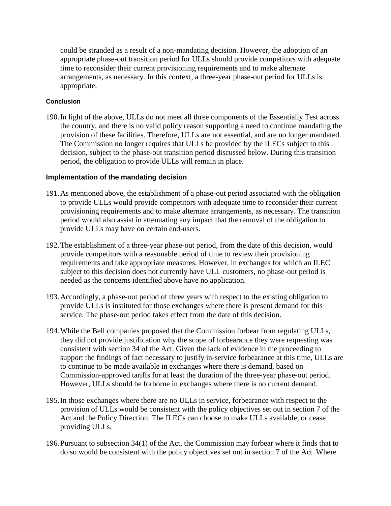could be stranded as a result of a non-mandating decision. However, the adoption of an appropriate phase-out transition period for ULLs should provide competitors with adequate time to reconsider their current provisioning requirements and to make alternate arrangements, as necessary. In this context, a three-year phase-out period for ULLs is appropriate.

#### **Conclusion**

190.In light of the above, ULLs do not meet all three components of the Essentially Test across the country, and there is no valid policy reason supporting a need to continue mandating the provision of these facilities. Therefore, ULLs are not essential, and are no longer mandated. The Commission no longer requires that ULLs be provided by the ILECs subject to this decision, subject to the phase-out transition period discussed below. During this transition period, the obligation to provide ULLs will remain in place.

#### **Implementation of the mandating decision**

- 191.As mentioned above, the establishment of a phase-out period associated with the obligation to provide ULLs would provide competitors with adequate time to reconsider their current provisioning requirements and to make alternate arrangements, as necessary. The transition period would also assist in attenuating any impact that the removal of the obligation to provide ULLs may have on certain end-users.
- 192.The establishment of a three-year phase-out period, from the date of this decision, would provide competitors with a reasonable period of time to review their provisioning requirements and take appropriate measures. However, in exchanges for which an ILEC subject to this decision does not currently have ULL customers, no phase-out period is needed as the concerns identified above have no application.
- 193.Accordingly, a phase-out period of three years with respect to the existing obligation to provide ULLs is instituted for those exchanges where there is present demand for this service. The phase-out period takes effect from the date of this decision.
- 194.While the Bell companies proposed that the Commission forbear from regulating ULLs, they did not provide justification why the scope of forbearance they were requesting was consistent with section 34 of the Act. Given the lack of evidence in the proceeding to support the findings of fact necessary to justify in-service forbearance at this time, ULLs are to continue to be made available in exchanges where there is demand, based on Commission-approved tariffs for at least the duration of the three-year phase-out period. However, ULLs should be forborne in exchanges where there is no current demand.
- 195.In those exchanges where there are no ULLs in service, forbearance with respect to the provision of ULLs would be consistent with the policy objectives set out in section 7 of the Act and the Policy Direction. The ILECs can choose to make ULLs available, or cease providing ULLs.
- 196.Pursuant to subsection 34(1) of the Act, the Commission may forbear where it finds that to do so would be consistent with the policy objectives set out in section 7 of the Act. Where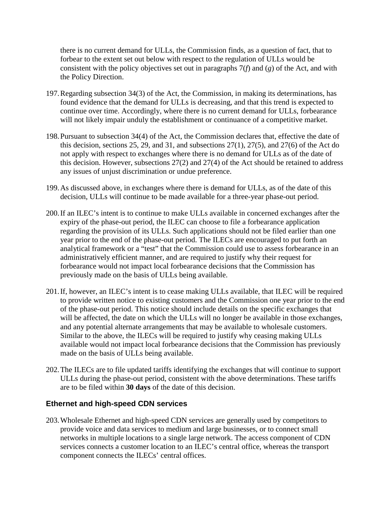there is no current demand for ULLs, the Commission finds, as a question of fact, that to forbear to the extent set out below with respect to the regulation of ULLs would be consistent with the policy objectives set out in paragraphs 7(*f*) and (*g*) of the Act, and with the Policy Direction.

- 197.Regarding subsection 34(3) of the Act, the Commission, in making its determinations, has found evidence that the demand for ULLs is decreasing, and that this trend is expected to continue over time. Accordingly, where there is no current demand for ULLs, forbearance will not likely impair unduly the establishment or continuance of a competitive market.
- 198.Pursuant to subsection 34(4) of the Act, the Commission declares that, effective the date of this decision, sections 25, 29, and 31, and subsections 27(1), 27(5), and 27(6) of the Act do not apply with respect to exchanges where there is no demand for ULLs as of the date of this decision. However, subsections 27(2) and 27(4) of the Act should be retained to address any issues of unjust discrimination or undue preference.
- 199.As discussed above, in exchanges where there is demand for ULLs, as of the date of this decision, ULLs will continue to be made available for a three-year phase-out period.
- 200.If an ILEC's intent is to continue to make ULLs available in concerned exchanges after the expiry of the phase-out period, the ILEC can choose to file a forbearance application regarding the provision of its ULLs. Such applications should not be filed earlier than one year prior to the end of the phase-out period. The ILECs are encouraged to put forth an analytical framework or a "test" that the Commission could use to assess forbearance in an administratively efficient manner, and are required to justify why their request for forbearance would not impact local forbearance decisions that the Commission has previously made on the basis of ULLs being available.
- 201.If, however, an ILEC's intent is to cease making ULLs available, that ILEC will be required to provide written notice to existing customers and the Commission one year prior to the end of the phase-out period. This notice should include details on the specific exchanges that will be affected, the date on which the ULLs will no longer be available in those exchanges, and any potential alternate arrangements that may be available to wholesale customers. Similar to the above, the ILECs will be required to justify why ceasing making ULLs available would not impact local forbearance decisions that the Commission has previously made on the basis of ULLs being available.
- 202.The ILECs are to file updated tariffs identifying the exchanges that will continue to support ULLs during the phase-out period, consistent with the above determinations. These tariffs are to be filed within **30 days** of the date of this decision.

# **Ethernet and high-speed CDN services**

203.Wholesale Ethernet and high-speed CDN services are generally used by competitors to provide voice and data services to medium and large businesses, or to connect small networks in multiple locations to a single large network. The access component of CDN services connects a customer location to an ILEC's central office, whereas the transport component connects the ILECs' central offices.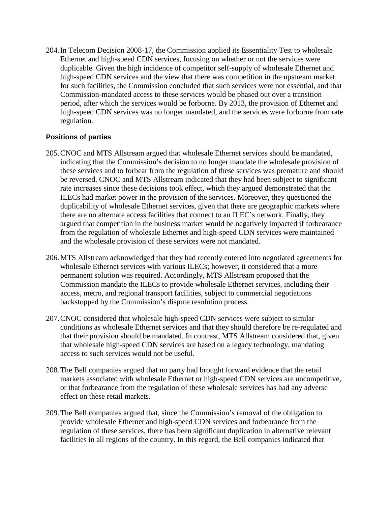204.In Telecom Decision 2008-17, the Commission applied its Essentiality Test to wholesale Ethernet and high-speed CDN services, focusing on whether or not the services were duplicable. Given the high incidence of competitor self-supply of wholesale Ethernet and high-speed CDN services and the view that there was competition in the upstream market for such facilities, the Commission concluded that such services were not essential, and that Commission-mandated access to these services would be phased out over a transition period, after which the services would be forborne. By 2013, the provision of Ethernet and high-speed CDN services was no longer mandated, and the services were forborne from rate regulation.

#### **Positions of parties**

- 205.CNOC and MTS Allstream argued that wholesale Ethernet services should be mandated, indicating that the Commission's decision to no longer mandate the wholesale provision of these services and to forbear from the regulation of these services was premature and should be reversed. CNOC and MTS Allstream indicated that they had been subject to significant rate increases since these decisions took effect, which they argued demonstrated that the ILECs had market power in the provision of the services. Moreover, they questioned the duplicability of wholesale Ethernet services, given that there are geographic markets where there are no alternate access facilities that connect to an ILEC's network. Finally, they argued that competition in the business market would be negatively impacted if forbearance from the regulation of wholesale Ethernet and high-speed CDN services were maintained and the wholesale provision of these services were not mandated.
- 206.MTS Allstream acknowledged that they had recently entered into negotiated agreements for wholesale Ethernet services with various ILECs; however, it considered that a more permanent solution was required. Accordingly, MTS Allstream proposed that the Commission mandate the ILECs to provide wholesale Ethernet services, including their access, metro, and regional transport facilities, subject to commercial negotiations backstopped by the Commission's dispute resolution process.
- 207.CNOC considered that wholesale high-speed CDN services were subject to similar conditions as wholesale Ethernet services and that they should therefore be re-regulated and that their provision should be mandated. In contrast, MTS Allstream considered that, given that wholesale high-speed CDN services are based on a legacy technology, mandating access to such services would not be useful.
- 208.The Bell companies argued that no party had brought forward evidence that the retail markets associated with wholesale Ethernet or high-speed CDN services are uncompetitive, or that forbearance from the regulation of these wholesale services has had any adverse effect on these retail markets.
- 209.The Bell companies argued that, since the Commission's removal of the obligation to provide wholesale Ethernet and high-speed CDN services and forbearance from the regulation of these services, there has been significant duplication in alternative relevant facilities in all regions of the country. In this regard, the Bell companies indicated that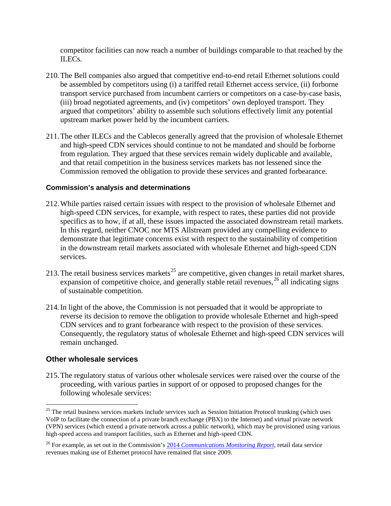competitor facilities can now reach a number of buildings comparable to that reached by the ILECs.

- 210.The Bell companies also argued that competitive end-to-end retail Ethernet solutions could be assembled by competitors using (i) a tariffed retail Ethernet access service, (ii) forborne transport service purchased from incumbent carriers or competitors on a case-by-case basis, (iii) broad negotiated agreements, and (iv) competitors' own deployed transport. They argued that competitors' ability to assemble such solutions effectively limit any potential upstream market power held by the incumbent carriers.
- 211.The other ILECs and the Cablecos generally agreed that the provision of wholesale Ethernet and high-speed CDN services should continue to not be mandated and should be forborne from regulation. They argued that these services remain widely duplicable and available, and that retail competition in the business services markets has not lessened since the Commission removed the obligation to provide these services and granted forbearance.

#### **Commission's analysis and determinations**

- 212.While parties raised certain issues with respect to the provision of wholesale Ethernet and high-speed CDN services, for example, with respect to rates, these parties did not provide specifics as to how, if at all, these issues impacted the associated downstream retail markets. In this regard, neither CNOC nor MTS Allstream provided any compelling evidence to demonstrate that legitimate concerns exist with respect to the sustainability of competition in the downstream retail markets associated with wholesale Ethernet and high-speed CDN services.
- 213. The retail business services markets<sup>[25](#page-35-0)</sup> are competitive, given changes in retail market shares, expansion of competitive choice, and generally stable retail revenues,<sup>[26](#page-35-1)</sup> all indicating signs of sustainable competition.
- 214.In light of the above, the Commission is not persuaded that it would be appropriate to reverse its decision to remove the obligation to provide wholesale Ethernet and high-speed CDN services and to grant forbearance with respect to the provision of these services. Consequently, the regulatory status of wholesale Ethernet and high-speed CDN services will remain unchanged.

#### **Other wholesale services**

215.The regulatory status of various other wholesale services were raised over the course of the proceeding, with various parties in support of or opposed to proposed changes for the following wholesale services:

<span id="page-35-0"></span> $25$  The retail business services markets include services such as Session Initiation Protocol trunking (which uses VoIP to facilitate the connection of a private branch exchange (PBX) to the Internet) and virtual private network (VPN) services (which extend a private network across a public network), which may be provisioned using various high-speed access and transport facilities, such as Ethernet and high-speed CDN.

<span id="page-35-1"></span><sup>26</sup> For example, as set out in the Commission's 2014 *[Communications Monitoring Report](http://www.crtc.gc.ca/eng/publications/reports/PolicyMonitoring/2014/cmr.htm)*, retail data service revenues making use of Ethernet protocol have remained flat since 2009.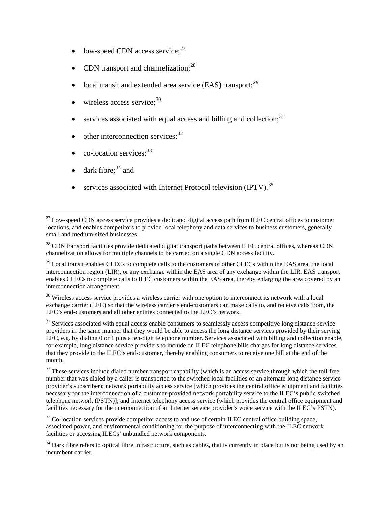- low-speed CDN access service; $27$
- CDN transport and channelization;<sup>[28](#page-36-1)</sup>
- local transit and extended area service (EAS) transport; $^{29}$  $^{29}$  $^{29}$
- wireless access service; $30$
- services associated with equal access and billing and collection; $31$
- $\bullet$  other interconnection services;<sup>[32](#page-36-5)</sup>
- $\bullet$  co-location services;<sup>[33](#page-36-6)</sup>
- dark fibre;  $34$  and
- services associated with Internet Protocol television (IPTV).<sup>[35](#page-36-8)</sup>

<span id="page-36-3"></span> $30$  Wireless access service provides a wireless carrier with one option to interconnect its network with a local exchange carrier (LEC) so that the wireless carrier's end-customers can make calls to, and receive calls from, the LEC's end-customers and all other entities connected to the LEC's network.

<span id="page-36-4"></span> $31$  Services associated with equal access enable consumers to seamlessly access competitive long distance service providers in the same manner that they would be able to access the long distance services provided by their serving LEC, e.g. by dialing 0 or 1 plus a ten-digit telephone number. Services associated with billing and collection enable, for example, long distance service providers to include on ILEC telephone bills charges for long distance services that they provide to the ILEC's end-customer, thereby enabling consumers to receive one bill at the end of the month.

<span id="page-36-5"></span><sup>32</sup> These services include dialed number transport capability (which is an access service through which the toll-free number that was dialed by a caller is transported to the switched local facilities of an alternate long distance service provider's subscriber); network portability access service [which provides the central office equipment and facilities necessary for the interconnection of a customer-provided network portability service to the ILEC's public switched telephone network (PSTN)]; and Internet telephony access service (which provides the central office equipment and facilities necessary for the interconnection of an Internet service provider's voice service with the ILEC's PSTN).

<span id="page-36-8"></span><span id="page-36-6"></span><sup>33</sup> Co-location services provide competitor access to and use of certain ILEC central office building space, associated power, and environmental conditioning for the purpose of interconnecting with the ILEC network facilities or accessing ILECs' unbundled network components.

<span id="page-36-0"></span><sup>&</sup>lt;sup>27</sup> Low-speed CDN access service provides a dedicated digital access path from ILEC central offices to customer locations, and enables competitors to provide local telephony and data services to business customers, generally small and medium-sized businesses.

<span id="page-36-1"></span><sup>&</sup>lt;sup>28</sup> CDN transport facilities provide dedicated digital transport paths between ILEC central offices, whereas CDN channelization allows for multiple channels to be carried on a single CDN access facility.

<span id="page-36-2"></span><sup>&</sup>lt;sup>29</sup> Local transit enables CLECs to complete calls to the customers of other CLECs within the EAS area, the local interconnection region (LIR), or any exchange within the EAS area of any exchange within the LIR. EAS transport enables CLECs to complete calls to ILEC customers within the EAS area, thereby enlarging the area covered by an interconnection arrangement.

<span id="page-36-7"></span> $34$  Dark fibre refers to optical fibre infrastructure, such as cables, that is currently in place but is not being used by an incumbent carrier.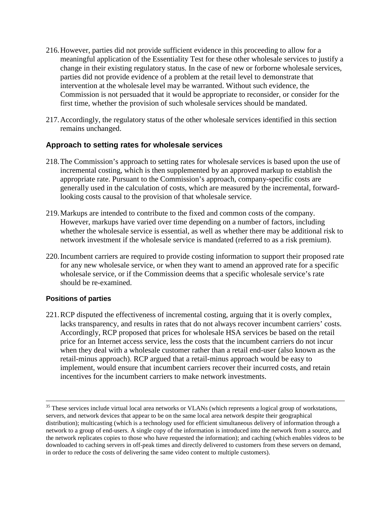- 216.However, parties did not provide sufficient evidence in this proceeding to allow for a meaningful application of the Essentiality Test for these other wholesale services to justify a change in their existing regulatory status. In the case of new or forborne wholesale services, parties did not provide evidence of a problem at the retail level to demonstrate that intervention at the wholesale level may be warranted. Without such evidence, the Commission is not persuaded that it would be appropriate to reconsider, or consider for the first time, whether the provision of such wholesale services should be mandated.
- 217.Accordingly, the regulatory status of the other wholesale services identified in this section remains unchanged.

# **Approach to setting rates for wholesale services**

- 218.The Commission's approach to setting rates for wholesale services is based upon the use of incremental costing, which is then supplemented by an approved markup to establish the appropriate rate. Pursuant to the Commission's approach, company-specific costs are generally used in the calculation of costs, which are measured by the incremental, forwardlooking costs causal to the provision of that wholesale service.
- 219.Markups are intended to contribute to the fixed and common costs of the company. However, markups have varied over time depending on a number of factors, including whether the wholesale service is essential, as well as whether there may be additional risk to network investment if the wholesale service is mandated (referred to as a risk premium).
- 220.Incumbent carriers are required to provide costing information to support their proposed rate for any new wholesale service, or when they want to amend an approved rate for a specific wholesale service, or if the Commission deems that a specific wholesale service's rate should be re-examined.

#### **Positions of parties**

221.RCP disputed the effectiveness of incremental costing, arguing that it is overly complex, lacks transparency, and results in rates that do not always recover incumbent carriers' costs. Accordingly, RCP proposed that prices for wholesale HSA services be based on the retail price for an Internet access service, less the costs that the incumbent carriers do not incur when they deal with a wholesale customer rather than a retail end-user (also known as the retail-minus approach). RCP argued that a retail-minus approach would be easy to implement, would ensure that incumbent carriers recover their incurred costs, and retain incentives for the incumbent carriers to make network investments.

<sup>&</sup>lt;sup>35</sup> These services include virtual local area networks or VLANs (which represents a logical group of workstations, servers, and network devices that appear to be on the same local area network despite their geographical distribution); multicasting (which is a technology used for efficient simultaneous delivery of information through a network to a group of end-users. A single copy of the information is introduced into the network from a source, and the network replicates copies to those who have requested the information); and caching (which enables videos to be downloaded to caching servers in off-peak times and directly delivered to customers from these servers on demand, in order to reduce the costs of delivering the same video content to multiple customers).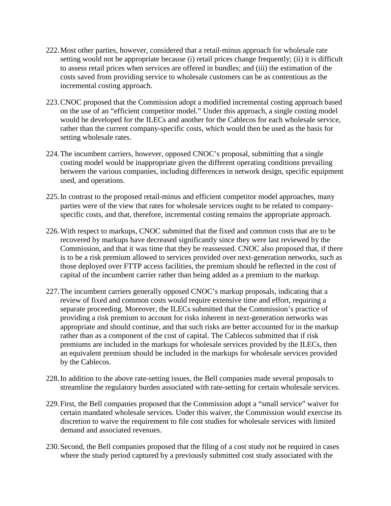- 222.Most other parties, however, considered that a retail-minus approach for wholesale rate setting would not be appropriate because (i) retail prices change frequently; (ii) it is difficult to assess retail prices when services are offered in bundles; and (iii) the estimation of the costs saved from providing service to wholesale customers can be as contentious as the incremental costing approach.
- 223.CNOC proposed that the Commission adopt a modified incremental costing approach based on the use of an "efficient competitor model." Under this approach, a single costing model would be developed for the ILECs and another for the Cablecos for each wholesale service, rather than the current company-specific costs, which would then be used as the basis for setting wholesale rates.
- 224.The incumbent carriers, however, opposed CNOC's proposal, submitting that a single costing model would be inappropriate given the different operating conditions prevailing between the various companies, including differences in network design, specific equipment used, and operations.
- 225.In contrast to the proposed retail-minus and efficient competitor model approaches, many parties were of the view that rates for wholesale services ought to be related to companyspecific costs, and that, therefore, incremental costing remains the appropriate approach.
- 226.With respect to markups, CNOC submitted that the fixed and common costs that are to be recovered by markups have decreased significantly since they were last reviewed by the Commission, and that it was time that they be reassessed. CNOC also proposed that, if there is to be a risk premium allowed to services provided over next-generation networks, such as those deployed over FTTP access facilities, the premium should be reflected in the cost of capital of the incumbent carrier rather than being added as a premium to the markup.
- 227.The incumbent carriers generally opposed CNOC's markup proposals, indicating that a review of fixed and common costs would require extensive time and effort, requiring a separate proceeding. Moreover, the ILECs submitted that the Commission's practice of providing a risk premium to account for risks inherent in next-generation networks was appropriate and should continue, and that such risks are better accounted for in the markup rather than as a component of the cost of capital. The Cablecos submitted that if risk premiums are included in the markups for wholesale services provided by the ILECs, then an equivalent premium should be included in the markups for wholesale services provided by the Cablecos.
- 228.In addition to the above rate-setting issues, the Bell companies made several proposals to streamline the regulatory burden associated with rate-setting for certain wholesale services.
- 229.First, the Bell companies proposed that the Commission adopt a "small service" waiver for certain mandated wholesale services. Under this waiver, the Commission would exercise its discretion to waive the requirement to file cost studies for wholesale services with limited demand and associated revenues.
- 230.Second, the Bell companies proposed that the filing of a cost study not be required in cases where the study period captured by a previously submitted cost study associated with the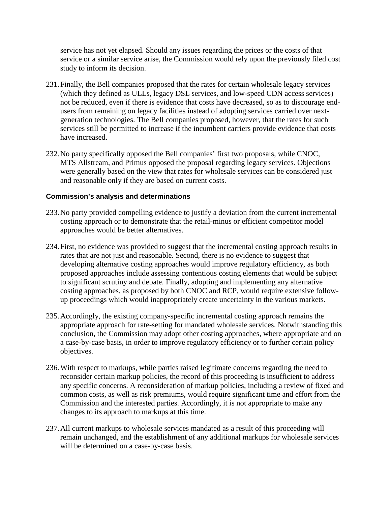service has not yet elapsed. Should any issues regarding the prices or the costs of that service or a similar service arise, the Commission would rely upon the previously filed cost study to inform its decision.

- 231.Finally, the Bell companies proposed that the rates for certain wholesale legacy services (which they defined as ULLs, legacy DSL services, and low-speed CDN access services) not be reduced, even if there is evidence that costs have decreased, so as to discourage endusers from remaining on legacy facilities instead of adopting services carried over nextgeneration technologies. The Bell companies proposed, however, that the rates for such services still be permitted to increase if the incumbent carriers provide evidence that costs have increased.
- 232.No party specifically opposed the Bell companies' first two proposals, while CNOC, MTS Allstream, and Primus opposed the proposal regarding legacy services. Objections were generally based on the view that rates for wholesale services can be considered just and reasonable only if they are based on current costs.

#### **Commission's analysis and determinations**

- 233.No party provided compelling evidence to justify a deviation from the current incremental costing approach or to demonstrate that the retail-minus or efficient competitor model approaches would be better alternatives.
- 234.First, no evidence was provided to suggest that the incremental costing approach results in rates that are not just and reasonable. Second, there is no evidence to suggest that developing alternative costing approaches would improve regulatory efficiency, as both proposed approaches include assessing contentious costing elements that would be subject to significant scrutiny and debate. Finally, adopting and implementing any alternative costing approaches, as proposed by both CNOC and RCP, would require extensive followup proceedings which would inappropriately create uncertainty in the various markets.
- 235.Accordingly, the existing company-specific incremental costing approach remains the appropriate approach for rate-setting for mandated wholesale services. Notwithstanding this conclusion, the Commission may adopt other costing approaches, where appropriate and on a case-by-case basis, in order to improve regulatory efficiency or to further certain policy objectives.
- 236.With respect to markups, while parties raised legitimate concerns regarding the need to reconsider certain markup policies, the record of this proceeding is insufficient to address any specific concerns. A reconsideration of markup policies, including a review of fixed and common costs, as well as risk premiums, would require significant time and effort from the Commission and the interested parties. Accordingly, it is not appropriate to make any changes to its approach to markups at this time.
- 237.All current markups to wholesale services mandated as a result of this proceeding will remain unchanged, and the establishment of any additional markups for wholesale services will be determined on a case-by-case basis.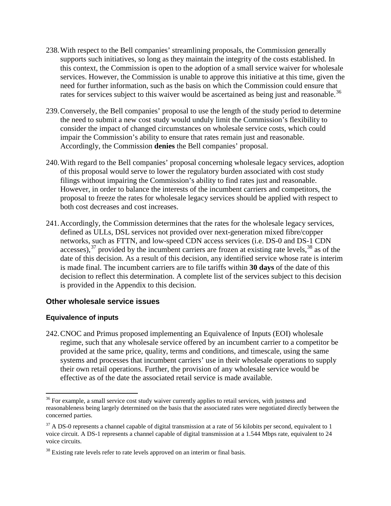- 238.With respect to the Bell companies' streamlining proposals, the Commission generally supports such initiatives, so long as they maintain the integrity of the costs established. In this context, the Commission is open to the adoption of a small service waiver for wholesale services. However, the Commission is unable to approve this initiative at this time, given the need for further information, such as the basis on which the Commission could ensure that rates for services subject to this waiver would be ascertained as being just and reasonable.<sup>[36](#page-40-0)</sup>
- 239.Conversely, the Bell companies' proposal to use the length of the study period to determine the need to submit a new cost study would unduly limit the Commission's flexibility to consider the impact of changed circumstances on wholesale service costs, which could impair the Commission's ability to ensure that rates remain just and reasonable. Accordingly, the Commission **denies** the Bell companies' proposal.
- 240.With regard to the Bell companies' proposal concerning wholesale legacy services, adoption of this proposal would serve to lower the regulatory burden associated with cost study filings without impairing the Commission's ability to find rates just and reasonable. However, in order to balance the interests of the incumbent carriers and competitors, the proposal to freeze the rates for wholesale legacy services should be applied with respect to both cost decreases and cost increases.
- 241.Accordingly, the Commission determines that the rates for the wholesale legacy services, defined as ULLs, DSL services not provided over next-generation mixed fibre/copper networks, such as FTTN, and low-speed CDN access services (i.e. DS-0 and DS-1 CDN accesses),  $37$  provided by the incumbent carriers are frozen at existing rate levels,  $38$  as of the date of this decision. As a result of this decision, any identified service whose rate is interim is made final. The incumbent carriers are to file tariffs within **30 days** of the date of this decision to reflect this determination. A complete list of the services subject to this decision is provided in the Appendix to this decision.

# **Other wholesale service issues**

#### **Equivalence of inputs**

242.CNOC and Primus proposed implementing an Equivalence of Inputs (EOI) wholesale regime, such that any wholesale service offered by an incumbent carrier to a competitor be provided at the same price, quality, terms and conditions, and timescale, using the same systems and processes that incumbent carriers' use in their wholesale operations to supply their own retail operations. Further, the provision of any wholesale service would be effective as of the date the associated retail service is made available.

<span id="page-40-0"></span> $36$  For example, a small service cost study waiver currently applies to retail services, with justness and reasonableness being largely determined on the basis that the associated rates were negotiated directly between the concerned parties.

<span id="page-40-1"></span> $37$  A DS-0 represents a channel capable of digital transmission at a rate of 56 kilobits per second, equivalent to 1 voice circuit. A DS-1 represents a channel capable of digital transmission at a 1.544 Mbps rate, equivalent to 24 voice circuits.

<span id="page-40-2"></span> $38$  Existing rate levels refer to rate levels approved on an interim or final basis.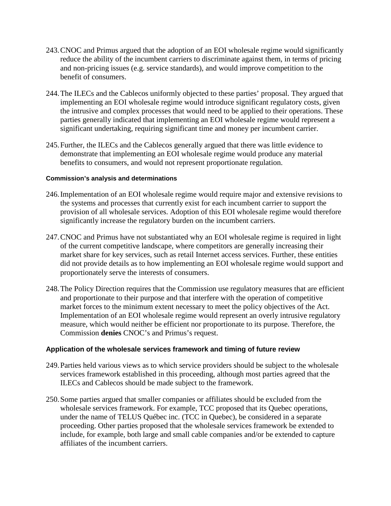- 243.CNOC and Primus argued that the adoption of an EOI wholesale regime would significantly reduce the ability of the incumbent carriers to discriminate against them, in terms of pricing and non-pricing issues (e.g. service standards), and would improve competition to the benefit of consumers.
- 244.The ILECs and the Cablecos uniformly objected to these parties' proposal. They argued that implementing an EOI wholesale regime would introduce significant regulatory costs, given the intrusive and complex processes that would need to be applied to their operations. These parties generally indicated that implementing an EOI wholesale regime would represent a significant undertaking, requiring significant time and money per incumbent carrier.
- 245.Further, the ILECs and the Cablecos generally argued that there was little evidence to demonstrate that implementing an EOI wholesale regime would produce any material benefits to consumers, and would not represent proportionate regulation.

#### **Commission's analysis and determinations**

- 246.Implementation of an EOI wholesale regime would require major and extensive revisions to the systems and processes that currently exist for each incumbent carrier to support the provision of all wholesale services. Adoption of this EOI wholesale regime would therefore significantly increase the regulatory burden on the incumbent carriers.
- 247.CNOC and Primus have not substantiated why an EOI wholesale regime is required in light of the current competitive landscape, where competitors are generally increasing their market share for key services, such as retail Internet access services. Further, these entities did not provide details as to how implementing an EOI wholesale regime would support and proportionately serve the interests of consumers.
- 248.The Policy Direction requires that the Commission use regulatory measures that are efficient and proportionate to their purpose and that interfere with the operation of competitive market forces to the minimum extent necessary to meet the policy objectives of the Act. Implementation of an EOI wholesale regime would represent an overly intrusive regulatory measure, which would neither be efficient nor proportionate to its purpose. Therefore, the Commission **denies** CNOC's and Primus's request.

#### **Application of the wholesale services framework and timing of future review**

- 249.Parties held various views as to which service providers should be subject to the wholesale services framework established in this proceeding, although most parties agreed that the ILECs and Cablecos should be made subject to the framework.
- 250.Some parties argued that smaller companies or affiliates should be excluded from the wholesale services framework. For example, TCC proposed that its Quebec operations, under the name of TELUS Québec inc. (TCC in Quebec), be considered in a separate proceeding. Other parties proposed that the wholesale services framework be extended to include, for example, both large and small cable companies and/or be extended to capture affiliates of the incumbent carriers.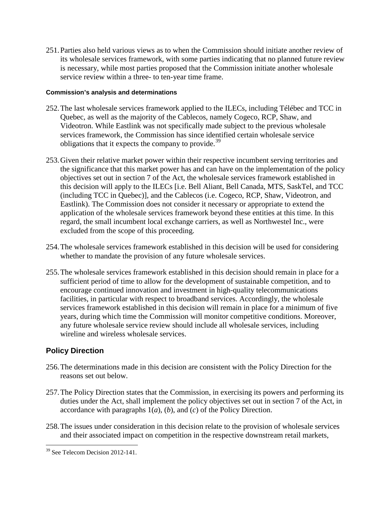251.Parties also held various views as to when the Commission should initiate another review of its wholesale services framework, with some parties indicating that no planned future review is necessary, while most parties proposed that the Commission initiate another wholesale service review within a three- to ten-year time frame.

#### **Commission's analysis and determinations**

- 252.The last wholesale services framework applied to the ILECs, including Télébec and TCC in Quebec, as well as the majority of the Cablecos, namely Cogeco, RCP, Shaw, and Videotron. While Eastlink was not specifically made subject to the previous wholesale services framework, the Commission has since identified certain wholesale service obligations that it expects the company to provide.<sup>[39](#page-42-0)</sup>
- 253.Given their relative market power within their respective incumbent serving territories and the significance that this market power has and can have on the implementation of the policy objectives set out in section 7 of the Act, the wholesale services framework established in this decision will apply to the ILECs [i.e. Bell Aliant, Bell Canada, MTS, SaskTel, and TCC (including TCC in Quebec)], and the Cablecos (i.e. Cogeco, RCP, Shaw, Videotron, and Eastlink). The Commission does not consider it necessary or appropriate to extend the application of the wholesale services framework beyond these entities at this time. In this regard, the small incumbent local exchange carriers, as well as Northwestel Inc., were excluded from the scope of this proceeding.
- 254.The wholesale services framework established in this decision will be used for considering whether to mandate the provision of any future wholesale services.
- 255.The wholesale services framework established in this decision should remain in place for a sufficient period of time to allow for the development of sustainable competition, and to encourage continued innovation and investment in high-quality telecommunications facilities, in particular with respect to broadband services. Accordingly, the wholesale services framework established in this decision will remain in place for a minimum of five years, during which time the Commission will monitor competitive conditions. Moreover, any future wholesale service review should include all wholesale services, including wireline and wireless wholesale services.

# **Policy Direction**

- 256.The determinations made in this decision are consistent with the Policy Direction for the reasons set out below.
- 257.The Policy Direction states that the Commission, in exercising its powers and performing its duties under the Act, shall implement the policy objectives set out in section 7 of the Act, in accordance with paragraphs 1(*a*), (*b*), and (*c*) of the Policy Direction.
- 258.The issues under consideration in this decision relate to the provision of wholesale services and their associated impact on competition in the respective downstream retail markets,

<span id="page-42-0"></span><sup>&</sup>lt;sup>39</sup> See Telecom Decision 2012-141.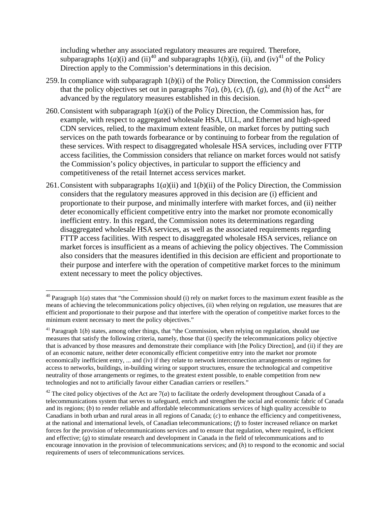including whether any associated regulatory measures are required. Therefore, subparagraphs 1(*a*)(i) and (ii)<sup>[40](#page-43-0)</sup> and subparagraphs 1(*b*)(i), (ii), and (iv)<sup>[41](#page-43-1)</sup> of the Policy Direction apply to the Commission's determinations in this decision.

- 259.In compliance with subparagraph 1(*b*)(i) of the Policy Direction, the Commission considers that the policy objectives set out in paragraphs  $7(a)$ ,  $(b)$ ,  $(c)$ ,  $(f)$ ,  $(g)$ , and  $(h)$  of the Act<sup>[42](#page-43-2)</sup> are advanced by the regulatory measures established in this decision.
- 260.Consistent with subparagraph 1(*a*)(i) of the Policy Direction, the Commission has, for example, with respect to aggregated wholesale HSA, ULL, and Ethernet and high-speed CDN services, relied, to the maximum extent feasible, on market forces by putting such services on the path towards forbearance or by continuing to forbear from the regulation of these services. With respect to disaggregated wholesale HSA services, including over FTTP access facilities, the Commission considers that reliance on market forces would not satisfy the Commission's policy objectives, in particular to support the efficiency and competitiveness of the retail Internet access services market.
- 261.Consistent with subparagraphs 1(*a*)(ii) and 1(*b*)(ii) of the Policy Direction, the Commission considers that the regulatory measures approved in this decision are (i) efficient and proportionate to their purpose, and minimally interfere with market forces, and (ii) neither deter economically efficient competitive entry into the market nor promote economically inefficient entry. In this regard, the Commission notes its determinations regarding disaggregated wholesale HSA services, as well as the associated requirements regarding FTTP access facilities. With respect to disaggregated wholesale HSA services, reliance on market forces is insufficient as a means of achieving the policy objectives. The Commission also considers that the measures identified in this decision are efficient and proportionate to their purpose and interfere with the operation of competitive market forces to the minimum extent necessary to meet the policy objectives.

<span id="page-43-0"></span> $40$  Paragraph  $1(a)$  states that "the Commission should (i) rely on market forces to the maximum extent feasible as the means of achieving the telecommunications policy objectives, (ii) when relying on regulation, use measures that are efficient and proportionate to their purpose and that interfere with the operation of competitive market forces to the minimum extent necessary to meet the policy objectives."

<span id="page-43-1"></span><sup>&</sup>lt;sup>41</sup> Paragraph 1(*b*) states, among other things, that "the Commission, when relying on regulation, should use measures that satisfy the following criteria, namely, those that (i) specify the telecommunications policy objective that is advanced by those measures and demonstrate their compliance with [the Policy Direction], and (ii) if they are of an economic nature, neither deter economically efficient competitive entry into the market nor promote economically inefficient entry, ... and (iv) if they relate to network interconnection arrangements or regimes for access to networks, buildings, in-building wiring or support structures, ensure the technological and competitive neutrality of those arrangements or regimes, to the greatest extent possible, to enable competition from new technologies and not to artificially favour either Canadian carriers or resellers."

<span id="page-43-2"></span><sup>&</sup>lt;sup>42</sup> The cited policy objectives of the Act are  $7(a)$  to facilitate the orderly development throughout Canada of a telecommunications system that serves to safeguard, enrich and strengthen the social and economic fabric of Canada and its regions; (*b*) to render reliable and affordable telecommunications services of high quality accessible to Canadians in both urban and rural areas in all regions of Canada; (*c*) to enhance the efficiency and competitiveness, at the national and international levels, of Canadian telecommunications; (*f*) to foster increased reliance on market forces for the provision of telecommunications services and to ensure that regulation, where required, is efficient and effective; (*g*) to stimulate research and development in Canada in the field of telecommunications and to encourage innovation in the provision of telecommunications services; and (*h*) to respond to the economic and social requirements of users of telecommunications services.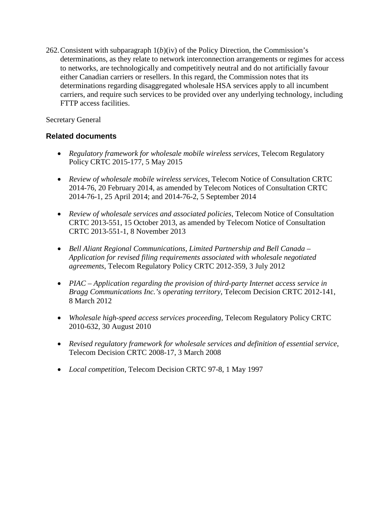262.Consistent with subparagraph 1(*b*)(iv) of the Policy Direction, the Commission's determinations, as they relate to network interconnection arrangements or regimes for access to networks, are technologically and competitively neutral and do not artificially favour either Canadian carriers or resellers. In this regard, the Commission notes that its determinations regarding disaggregated wholesale HSA services apply to all incumbent carriers, and require such services to be provided over any underlying technology, including FTTP access facilities.

Secretary General

# **Related documents**

- *Regulatory framework for wholesale mobile wireless services*, Telecom Regulatory Policy CRTC 2015-177, 5 May 2015
- *Review of wholesale mobile wireless services*, Telecom Notice of Consultation CRTC 2014-76, 20 February 2014, as amended by Telecom Notices of Consultation CRTC 2014-76-1, 25 April 2014; and 2014-76-2, 5 September 2014
- *Review of wholesale services and associated policies*, Telecom Notice of Consultation CRTC 2013-551, 15 October 2013, as amended by Telecom Notice of Consultation CRTC 2013-551-1, 8 November 2013
- *Bell Aliant Regional Communications, Limited Partnership and Bell Canada – Application for revised filing requirements associated with wholesale negotiated agreements*, Telecom Regulatory Policy CRTC 2012-359, 3 July 2012
- *PIAC – Application regarding the provision of third-party Internet access service in Bragg Communications Inc.'s operating territory*, Telecom Decision CRTC 2012-141, 8 March 2012
- *Wholesale high-speed access services proceeding*, Telecom Regulatory Policy CRTC 2010-632, 30 August 2010
- *Revised regulatory framework for wholesale services and definition of essential service*, Telecom Decision CRTC 2008-17, 3 March 2008
- *Local competition*, Telecom Decision CRTC 97-8, 1 May 1997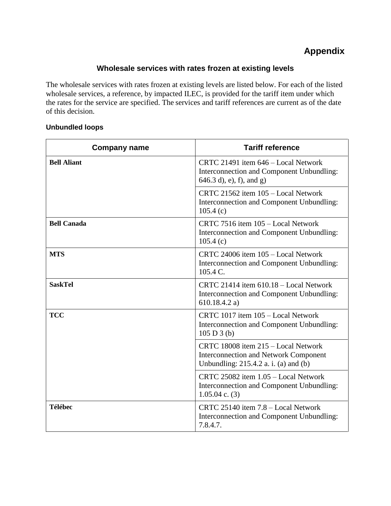# **Appendix**

# **Wholesale services with rates frozen at existing levels**

The wholesale services with rates frozen at existing levels are listed below. For each of the listed wholesale services, a reference, by impacted ILEC, is provided for the tariff item under which the rates for the service are specified. The services and tariff references are current as of the date of this decision.

#### **Unbundled loops**

| <b>Company name</b> | <b>Tariff reference</b>                                                                                                      |
|---------------------|------------------------------------------------------------------------------------------------------------------------------|
| <b>Bell Aliant</b>  | CRTC 21491 item 646 - Local Network<br>Interconnection and Component Unbundling:<br>$(646.3 d)$ , e), f), and g)             |
|                     | CRTC 21562 item 105 - Local Network<br>Interconnection and Component Unbundling:<br>105.4(c)                                 |
| <b>Bell Canada</b>  | CRTC 7516 item 105 - Local Network<br>Interconnection and Component Unbundling:<br>105.4(c)                                  |
| <b>MTS</b>          | CRTC 24006 item 105 - Local Network<br>Interconnection and Component Unbundling:<br>$105.4 C$ .                              |
| <b>SaskTel</b>      | CRTC 21414 item 610.18 - Local Network<br>Interconnection and Component Unbundling:<br>610.18.4.2 a)                         |
| <b>TCC</b>          | CRTC 1017 item 105 - Local Network<br>Interconnection and Component Unbundling:<br>105 D 3(b)                                |
|                     | CRTC 18008 item 215 - Local Network<br><b>Interconnection and Network Component</b><br>Unbundling: 215.4.2 a. i. (a) and (b) |
|                     | CRTC 25082 item 1.05 - Local Network<br>Interconnection and Component Unbundling:<br>$1.05.04$ c. (3)                        |
| <b>Télébec</b>      | CRTC 25140 item 7.8 - Local Network<br>Interconnection and Component Unbundling:<br>7.8.4.7.                                 |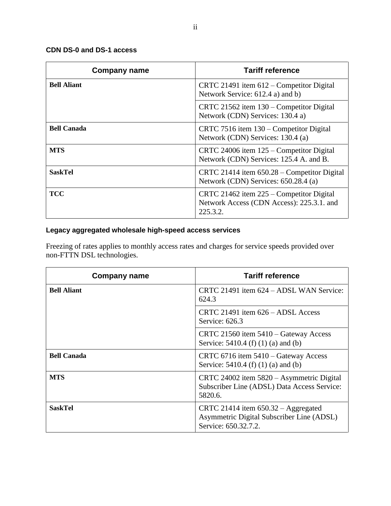### **CDN DS-0 and DS-1 access**

| <b>Company name</b> | <b>Tariff reference</b>                                                                           |
|---------------------|---------------------------------------------------------------------------------------------------|
| <b>Bell Aliant</b>  | CRTC 21491 item 612 – Competitor Digital<br>Network Service: 612.4 a) and b)                      |
|                     | CRTC 21562 item 130 – Competitor Digital<br>Network (CDN) Services: 130.4 a)                      |
| <b>Bell Canada</b>  | CRTC 7516 item 130 – Competitor Digital<br>Network (CDN) Services: 130.4 (a)                      |
| <b>MTS</b>          | CRTC 24006 item 125 – Competitor Digital<br>Network (CDN) Services: 125.4 A. and B.               |
| <b>SaskTel</b>      | CRTC 21414 item $650.28$ – Competitor Digital<br>Network (CDN) Services: 650.28.4 (a)             |
| <b>TCC</b>          | CRTC 21462 item 225 – Competitor Digital<br>Network Access (CDN Access): 225.3.1. and<br>225.3.2. |

# **Legacy aggregated wholesale high-speed access services**

Freezing of rates applies to monthly access rates and charges for service speeds provided over non-FTTN DSL technologies.

| Company name       | <b>Tariff reference</b>                                                                                    |
|--------------------|------------------------------------------------------------------------------------------------------------|
| <b>Bell Aliant</b> | CRTC 21491 item $624 -$ ADSL WAN Service:<br>624.3                                                         |
|                    | CRTC 21491 item $626 - ADSL$ Access<br>Service: 626.3                                                      |
|                    | CRTC 21560 item 5410 – Gateway Access<br>Service: 5410.4 (f) (1) (a) and (b)                               |
| <b>Bell Canada</b> | CRTC 6716 item 5410 – Gateway Access<br>Service: 5410.4 (f) (1) (a) and (b)                                |
| <b>MTS</b>         | CRTC 24002 item 5820 - Asymmetric Digital<br>Subscriber Line (ADSL) Data Access Service:<br>5820.6.        |
| <b>SaskTel</b>     | CRTC 21414 item $650.32 -$ Aggregated<br>Asymmetric Digital Subscriber Line (ADSL)<br>Service: 650.32.7.2. |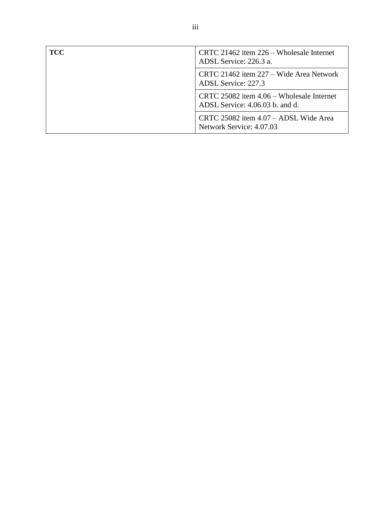| TCC | CRTC 21462 item 226 – Wholesale Internet<br>ADSL Service: 226.3 a.           |
|-----|------------------------------------------------------------------------------|
|     | CRTC 21462 item 227 – Wide Area Network<br>ADSL Service: 227.3               |
|     | CRTC 25082 item 4.06 – Wholesale Internet<br>ADSL Service: 4.06.03 b. and d. |
|     | CRTC 25082 item 4.07 – ADSL Wide Area<br>Network Service: 4.07.03            |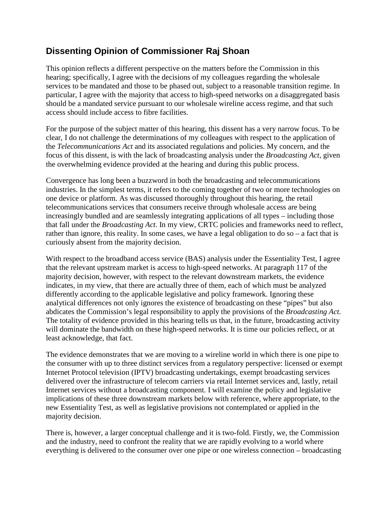# **Dissenting Opinion of Commissioner Raj Shoan**

This opinion reflects a different perspective on the matters before the Commission in this hearing; specifically, I agree with the decisions of my colleagues regarding the wholesale services to be mandated and those to be phased out, subject to a reasonable transition regime. In particular, I agree with the majority that access to high-speed networks on a disaggregated basis should be a mandated service pursuant to our wholesale wireline access regime, and that such access should include access to fibre facilities.

For the purpose of the subject matter of this hearing, this dissent has a very narrow focus. To be clear, I do not challenge the determinations of my colleagues with respect to the application of the *Telecommunications Act* and its associated regulations and policies. My concern, and the focus of this dissent, is with the lack of broadcasting analysis under the *Broadcasting Act*, given the overwhelming evidence provided at the hearing and during this public process.

Convergence has long been a buzzword in both the broadcasting and telecommunications industries. In the simplest terms, it refers to the coming together of two or more technologies on one device or platform. As was discussed thoroughly throughout this hearing, the retail telecommunications services that consumers receive through wholesale access are being increasingly bundled and are seamlessly integrating applications of all types – including those that fall under the *Broadcasting Act*. In my view, CRTC policies and frameworks need to reflect, rather than ignore, this reality. In some cases, we have a legal obligation to do so – a fact that is curiously absent from the majority decision.

With respect to the broadband access service (BAS) analysis under the Essentiality Test, I agree that the relevant upstream market is access to high-speed networks. At paragraph 117 of the majority decision, however, with respect to the relevant downstream markets, the evidence indicates, in my view, that there are actually three of them, each of which must be analyzed differently according to the applicable legislative and policy framework. Ignoring these analytical differences not only ignores the existence of broadcasting on these "pipes" but also abdicates the Commission's legal responsibility to apply the provisions of the *Broadcasting Act*. The totality of evidence provided in this hearing tells us that, in the future, broadcasting activity will dominate the bandwidth on these high-speed networks. It is time our policies reflect, or at least acknowledge, that fact.

The evidence demonstrates that we are moving to a wireline world in which there is one pipe to the consumer with up to three distinct services from a regulatory perspective: licensed or exempt Internet Protocol television (IPTV) broadcasting undertakings, exempt broadcasting services delivered over the infrastructure of telecom carriers via retail Internet services and, lastly, retail Internet services without a broadcasting component. I will examine the policy and legislative implications of these three downstream markets below with reference, where appropriate, to the new Essentiality Test, as well as legislative provisions not contemplated or applied in the majority decision.

There is, however, a larger conceptual challenge and it is two-fold. Firstly, we, the Commission and the industry, need to confront the reality that we are rapidly evolving to a world where everything is delivered to the consumer over one pipe or one wireless connection – broadcasting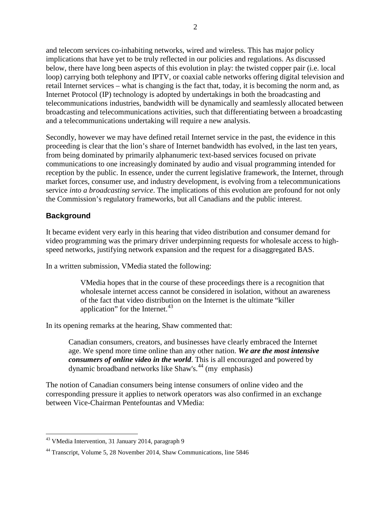and telecom services co-inhabiting networks, wired and wireless. This has major policy implications that have yet to be truly reflected in our policies and regulations. As discussed below, there have long been aspects of this evolution in play: the twisted copper pair (i.e. local loop) carrying both telephony and IPTV, or coaxial cable networks offering digital television and retail Internet services – what is changing is the fact that, today, it is becoming the norm and, as Internet Protocol (IP) technology is adopted by undertakings in both the broadcasting and telecommunications industries, bandwidth will be dynamically and seamlessly allocated between broadcasting and telecommunications activities, such that differentiating between a broadcasting and a telecommunications undertaking will require a new analysis.

Secondly, however we may have defined retail Internet service in the past, the evidence in this proceeding is clear that the lion's share of Internet bandwidth has evolved, in the last ten years, from being dominated by primarily alphanumeric text-based services focused on private communications to one increasingly dominated by audio and visual programming intended for reception by the public. In essence, under the current legislative framework, the Internet, through market forces, consumer use, and industry development, is evolving from a telecommunications service *into a broadcasting service*. The implications of this evolution are profound for not only the Commission's regulatory frameworks, but all Canadians and the public interest.

# **Background**

It became evident very early in this hearing that video distribution and consumer demand for video programming was the primary driver underpinning requests for wholesale access to highspeed networks, justifying network expansion and the request for a disaggregated BAS.

In a written submission, VMedia stated the following:

VMedia hopes that in the course of these proceedings there is a recognition that wholesale internet access cannot be considered in isolation, without an awareness of the fact that video distribution on the Internet is the ultimate "killer application" for the Internet. $43$ 

In its opening remarks at the hearing, Shaw commented that:

Canadian consumers, creators, and businesses have clearly embraced the Internet age. We spend more time online than any other nation. *We are the most intensive consumers of online video in the world*. This is all encouraged and powered by dynamic broadband networks like Shaw's.<sup>[44](#page-49-1)</sup> (my emphasis)

The notion of Canadian consumers being intense consumers of online video and the corresponding pressure it applies to network operators was also confirmed in an exchange between Vice-Chairman Pentefountas and VMedia:

<span id="page-49-0"></span> <sup>43</sup> VMedia Intervention, 31 January 2014, paragraph 9

<span id="page-49-1"></span><sup>44</sup> Transcript, Volume 5, 28 November 2014, Shaw Communications, line 5846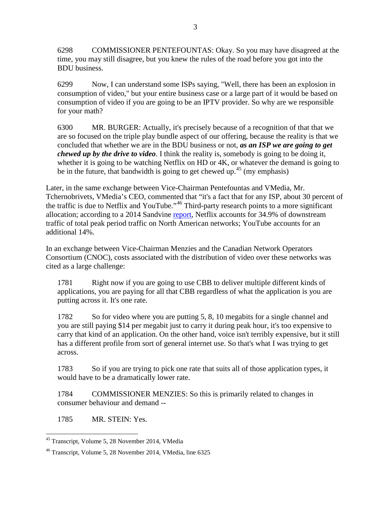6298 COMMISSIONER PENTEFOUNTAS: Okay. So you may have disagreed at the time, you may still disagree, but you knew the rules of the road before you got into the BDU business.

6299 Now, I can understand some ISPs saying, "Well, there has been an explosion in consumption of video," but your entire business case or a large part of it would be based on consumption of video if you are going to be an IPTV provider. So why are we responsible for your math?

6300 MR. BURGER: Actually, it's precisely because of a recognition of that that we are so focused on the triple play bundle aspect of our offering, because the reality is that we concluded that whether we are in the BDU business or not, *as an ISP we are going to get chewed up by the drive to video*. I think the reality is, somebody is going to be doing it, whether it is going to be watching Netflix on HD or 4K, or whatever the demand is going to be in the future, that bandwidth is going to get chewed up.<sup>[45](#page-50-0)</sup> (my emphasis)

Later, in the same exchange between Vice-Chairman Pentefountas and VMedia, Mr. Tchernobrivets, VMedia's CEO, commented that "it's a fact that for any ISP, about 30 percent of the traffic is due to Netflix and YouTube."[46](#page-50-1) Third-party research points to a more significant allocation; according to a 2014 Sandvine [report,](https://www.sandvine.com/downloads/general/global-internet-phenomena/2014/2h-2014-global-internet-phenomena-report.pdf) Netflix accounts for 34.9% of downstream traffic of total peak period traffic on North American networks; YouTube accounts for an additional 14%.

In an exchange between Vice-Chairman Menzies and the Canadian Network Operators Consortium (CNOC), costs associated with the distribution of video over these networks was cited as a large challenge:

1781 Right now if you are going to use CBB to deliver multiple different kinds of applications, you are paying for all that CBB regardless of what the application is you are putting across it. It's one rate.

1782 So for video where you are putting 5, 8, 10 megabits for a single channel and you are still paying \$14 per megabit just to carry it during peak hour, it's too expensive to carry that kind of an application. On the other hand, voice isn't terribly expensive, but it still has a different profile from sort of general internet use. So that's what I was trying to get across.

1783 So if you are trying to pick one rate that suits all of those application types, it would have to be a dramatically lower rate.

1784 COMMISSIONER MENZIES: So this is primarily related to changes in consumer behaviour and demand --

1785 MR. STEIN: Yes.

<span id="page-50-0"></span> <sup>45</sup> Transcript, Volume 5, 28 November 2014, VMedia

<span id="page-50-1"></span><sup>46</sup> Transcript, Volume 5, 28 November 2014, VMedia, line 6325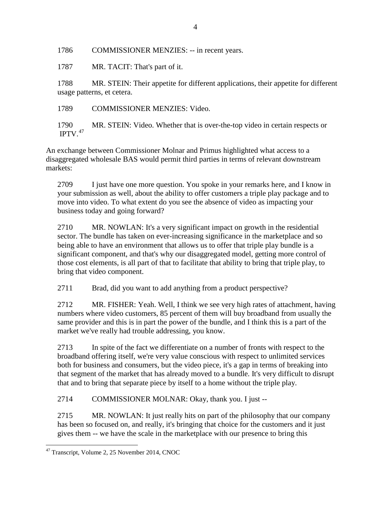1786 COMMISSIONER MENZIES: -- in recent years.

1787 MR. TACIT: That's part of it.

1788 MR. STEIN: Their appetite for different applications, their appetite for different usage patterns, et cetera.

1789 COMMISSIONER MENZIES: Video.

1790 MR. STEIN: Video. Whether that is over-the-top video in certain respects or IPTV. $47$ 

An exchange between Commissioner Molnar and Primus highlighted what access to a disaggregated wholesale BAS would permit third parties in terms of relevant downstream markets:

2709 I just have one more question. You spoke in your remarks here, and I know in your submission as well, about the ability to offer customers a triple play package and to move into video. To what extent do you see the absence of video as impacting your business today and going forward?

2710 MR. NOWLAN: It's a very significant impact on growth in the residential sector. The bundle has taken on ever-increasing significance in the marketplace and so being able to have an environment that allows us to offer that triple play bundle is a significant component, and that's why our disaggregated model, getting more control of those cost elements, is all part of that to facilitate that ability to bring that triple play, to bring that video component.

2711 Brad, did you want to add anything from a product perspective?

2712 MR. FISHER: Yeah. Well, I think we see very high rates of attachment, having numbers where video customers, 85 percent of them will buy broadband from usually the same provider and this is in part the power of the bundle, and I think this is a part of the market we've really had trouble addressing, you know.

2713 In spite of the fact we differentiate on a number of fronts with respect to the broadband offering itself, we're very value conscious with respect to unlimited services both for business and consumers, but the video piece, it's a gap in terms of breaking into that segment of the market that has already moved to a bundle. It's very difficult to disrupt that and to bring that separate piece by itself to a home without the triple play.

2714 COMMISSIONER MOLNAR: Okay, thank you. I just --

2715 MR. NOWLAN: It just really hits on part of the philosophy that our company has been so focused on, and really, it's bringing that choice for the customers and it just gives them -- we have the scale in the marketplace with our presence to bring this

<span id="page-51-0"></span> <sup>47</sup> Transcript, Volume 2, 25 November 2014, CNOC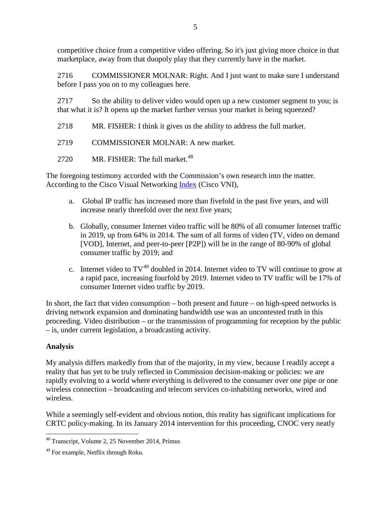competitive choice from a competitive video offering. So it's just giving more choice in that marketplace, away from that duopoly play that they currently have in the market.

2716 COMMISSIONER MOLNAR: Right. And I just want to make sure I understand before I pass you on to my colleagues here.

2717 So the ability to deliver video would open up a new customer segment to you; is that what it is? It opens up the market further versus your market is being squeezed?

2718 MR. FISHER: I think it gives us the ability to address the full market.

2719 COMMISSIONER MOLNAR: A new market.

2720 MR. FISHER: The full market.<sup>[48](#page-52-0)</sup>

The foregoing testimony accorded with the Commission's own research into the matter. According to the Cisco Visual Networking [Index](http://www.cisco.com/c/en/us/solutions/collateral/service-provider/ip-ngn-ip-next-generation-network/white_paper_c11-481360.html) (Cisco VNI),

- a. Global IP traffic has increased more than fivefold in the past five years, and will increase nearly threefold over the next five years;
- b. Globally, consumer Internet video traffic will be 80% of all consumer Internet traffic in 2019, up from 64% in 2014. The sum of all forms of video (TV, video on demand [VOD], Internet, and peer-to-peer [P2P]) will be in the range of 80-90% of global consumer traffic by 2019; and
- c. Internet video to  $TV^{49}$  $TV^{49}$  $TV^{49}$  doubled in 2014. Internet video to TV will continue to grow at a rapid pace, increasing fourfold by 2019. Internet video to TV traffic will be 17% of consumer Internet video traffic by 2019.

In short, the fact that video consumption – both present and future – on high-speed networks is driving network expansion and dominating bandwidth use was an uncontested truth in this proceeding. Video distribution – or the transmission of programming for reception by the public – is, under current legislation, a broadcasting activity.

# **Analysis**

My analysis differs markedly from that of the majority, in my view, because I readily accept a reality that has yet to be truly reflected in Commission decision-making or policies: we are rapidly evolving to a world where everything is delivered to the consumer over one pipe or one wireless connection – broadcasting and telecom services co-inhabiting networks, wired and wireless.

While a seemingly self-evident and obvious notion, this reality has significant implications for CRTC policy-making. In its January 2014 intervention for this proceeding, CNOC very neatly

<span id="page-52-0"></span> <sup>48</sup> Transcript, Volume 2, 25 November 2014, Primus

<span id="page-52-1"></span><sup>&</sup>lt;sup>49</sup> For example, Netflix through Roku.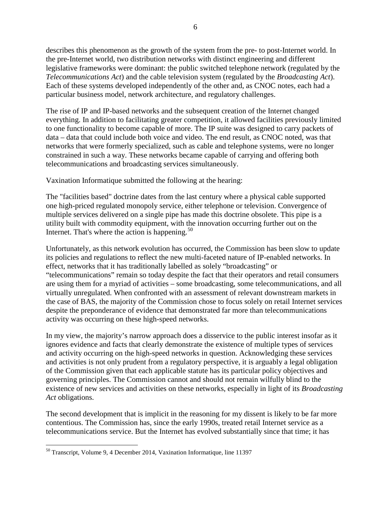describes this phenomenon as the growth of the system from the pre- to post-Internet world. In the pre-Internet world, two distribution networks with distinct engineering and different legislative frameworks were dominant: the public switched telephone network (regulated by the *Telecommunications Act*) and the cable television system (regulated by the *Broadcasting Act*). Each of these systems developed independently of the other and, as CNOC notes, each had a particular business model, network architecture, and regulatory challenges.

The rise of IP and IP-based networks and the subsequent creation of the Internet changed everything. In addition to facilitating greater competition, it allowed facilities previously limited to one functionality to become capable of more. The IP suite was designed to carry packets of data – data that could include both voice and video. The end result, as CNOC noted, was that networks that were formerly specialized, such as cable and telephone systems, were no longer constrained in such a way. These networks became capable of carrying and offering both telecommunications and broadcasting services simultaneously.

Vaxination Informatique submitted the following at the hearing:

The "facilities based" doctrine dates from the last century where a physical cable supported one high-priced regulated monopoly service, either telephone or television. Convergence of multiple services delivered on a single pipe has made this doctrine obsolete. This pipe is a utility built with commodity equipment, with the innovation occurring further out on the Internet. That's where the action is happening. $50$ 

Unfortunately, as this network evolution has occurred, the Commission has been slow to update its policies and regulations to reflect the new multi-faceted nature of IP-enabled networks. In effect, networks that it has traditionally labelled as solely "broadcasting" or "telecommunications" remain so today despite the fact that their operators and retail consumers are using them for a myriad of activities – some broadcasting, some telecommunications, and all virtually unregulated. When confronted with an assessment of relevant downstream markets in the case of BAS, the majority of the Commission chose to focus solely on retail Internet services despite the preponderance of evidence that demonstrated far more than telecommunications activity was occurring on these high-speed networks.

In my view, the majority's narrow approach does a disservice to the public interest insofar as it ignores evidence and facts that clearly demonstrate the existence of multiple types of services and activity occurring on the high-speed networks in question. Acknowledging these services and activities is not only prudent from a regulatory perspective, it is arguably a legal obligation of the Commission given that each applicable statute has its particular policy objectives and governing principles. The Commission cannot and should not remain wilfully blind to the existence of new services and activities on these networks, especially in light of its *Broadcasting Act* obligations.

The second development that is implicit in the reasoning for my dissent is likely to be far more contentious. The Commission has, since the early 1990s, treated retail Internet service as a telecommunications service. But the Internet has evolved substantially since that time; it has

<span id="page-53-0"></span> <sup>50</sup> Transcript, Volume 9, 4 December 2014, Vaxination Informatique, line 11397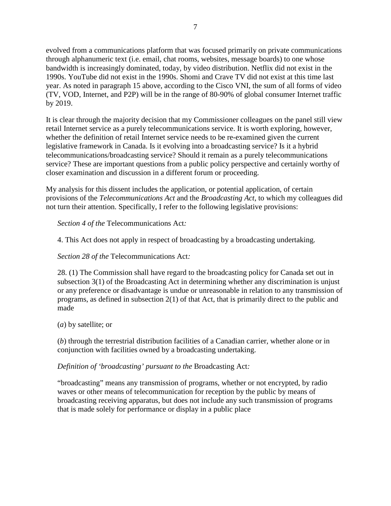evolved from a communications platform that was focused primarily on private communications through alphanumeric text (i.e. email, chat rooms, websites, message boards) to one whose bandwidth is increasingly dominated, today, by video distribution. Netflix did not exist in the 1990s. YouTube did not exist in the 1990s. Shomi and Crave TV did not exist at this time last year. As noted in paragraph 15 above, according to the Cisco VNI, the sum of all forms of video (TV, VOD, Internet, and P2P) will be in the range of 80-90% of global consumer Internet traffic by 2019.

It is clear through the majority decision that my Commissioner colleagues on the panel still view retail Internet service as a purely telecommunications service. It is worth exploring, however, whether the definition of retail Internet service needs to be re-examined given the current legislative framework in Canada. Is it evolving into a broadcasting service? Is it a hybrid telecommunications/broadcasting service? Should it remain as a purely telecommunications service? These are important questions from a public policy perspective and certainly worthy of closer examination and discussion in a different forum or proceeding.

My analysis for this dissent includes the application, or potential application, of certain provisions of the *Telecommunications Act* and the *Broadcasting Act*, to which my colleagues did not turn their attention. Specifically, I refer to the following legislative provisions:

*Section 4 of the* Telecommunications Act*:*

4. This Act does not apply in respect of broadcasting by a broadcasting undertaking.

*Section 28 of the* Telecommunications Act*:*

28. (1) The Commission shall have regard to the broadcasting policy for Canada set out in subsection 3(1) of the Broadcasting Act in determining whether any discrimination is unjust or any preference or disadvantage is undue or unreasonable in relation to any transmission of programs, as defined in subsection 2(1) of that Act, that is primarily direct to the public and made

(*a*) by satellite; or

(*b*) through the terrestrial distribution facilities of a Canadian carrier, whether alone or in conjunction with facilities owned by a broadcasting undertaking.

*Definition of 'broadcasting' pursuant to the* Broadcasting Act*:*

"broadcasting" means any transmission of programs, whether or not encrypted, by radio waves or other means of telecommunication for reception by the public by means of broadcasting receiving apparatus, but does not include any such transmission of programs that is made solely for performance or display in a public place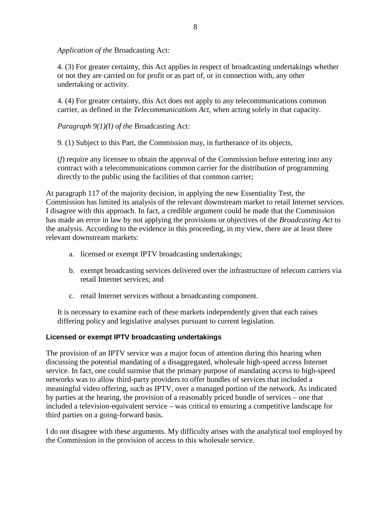*Application of the* Broadcasting Act*:*

4. (3) For greater certainty, this Act applies in respect of broadcasting undertakings whether or not they are carried on for profit or as part of, or in connection with, any other undertaking or activity.

4. (4) For greater certainty, this Act does not apply to any telecommunications common carrier, as defined in the *Telecommunications Act*, when acting solely in that capacity.

*Paragraph 9(1)(*f*) of the* Broadcasting Act*:*

9. (1) Subject to this Part, the Commission may, in furtherance of its objects,

(*f*) require any licensee to obtain the approval of the Commission before entering into any contract with a telecommunications common carrier for the distribution of programming directly to the public using the facilities of that common carrier;

At paragraph 117 of the majority decision, in applying the new Essentiality Test, the Commission has limited its analysis of the relevant downstream market to retail Internet services. I disagree with this approach. In fact, a credible argument could be made that the Commission has made an error in law by not applying the provisions or objectives of the *Broadcasting Act* to the analysis. According to the evidence in this proceeding, in my view, there are at least three relevant downstream markets:

- a. licensed or exempt IPTV broadcasting undertakings;
- b. exempt broadcasting services delivered over the infrastructure of telecom carriers via retail Internet services; and
- c. retail Internet services without a broadcasting component.

It is necessary to examine each of these markets independently given that each raises differing policy and legislative analyses pursuant to current legislation.

# **Licensed or exempt IPTV broadcasting undertakings**

The provision of an IPTV service was a major focus of attention during this hearing when discussing the potential mandating of a disaggregated, wholesale high-speed access Internet service. In fact, one could surmise that the primary purpose of mandating access to high-speed networks was to allow third-party providers to offer bundles of services that included a meaningful video offering, such as IPTV, over a managed portion of the network. As indicated by parties at the hearing, the provision of a reasonably priced bundle of services – one that included a television-equivalent service – was critical to ensuring a competitive landscape for third parties on a going-forward basis.

I do not disagree with these arguments. My difficulty arises with the analytical tool employed by the Commission in the provision of access to this wholesale service.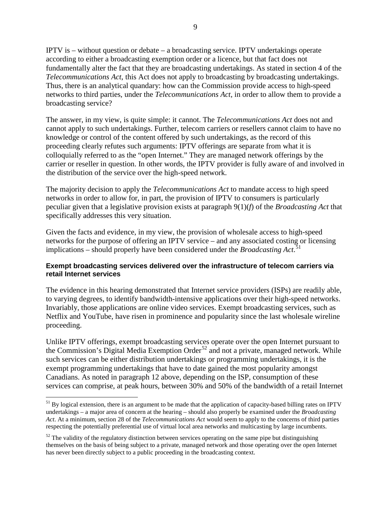IPTV is – without question or debate – a broadcasting service. IPTV undertakings operate according to either a broadcasting exemption order or a licence, but that fact does not fundamentally alter the fact that they are broadcasting undertakings. As stated in section 4 of the *Telecommunications Act*, this Act does not apply to broadcasting by broadcasting undertakings. Thus, there is an analytical quandary: how can the Commission provide access to high-speed networks to third parties, under the *Telecommunications Act*, in order to allow them to provide a broadcasting service?

The answer, in my view, is quite simple: it cannot. The *Telecommunications Act* does not and cannot apply to such undertakings. Further, telecom carriers or resellers cannot claim to have no knowledge or control of the content offered by such undertakings, as the record of this proceeding clearly refutes such arguments: IPTV offerings are separate from what it is colloquially referred to as the "open Internet." They are managed network offerings by the carrier or reseller in question. In other words, the IPTV provider is fully aware of and involved in the distribution of the service over the high-speed network.

The majority decision to apply the *Telecommunications Act* to mandate access to high speed networks in order to allow for, in part, the provision of IPTV to consumers is particularly peculiar given that a legislative provision exists at paragraph 9(1)(*f*) of the *Broadcasting Act* that specifically addresses this very situation.

Given the facts and evidence, in my view, the provision of wholesale access to high-speed networks for the purpose of offering an IPTV service – and any associated costing or licensing implications – should properly have been considered under the *Broadcasting Act*. [51](#page-56-0)

#### **Exempt broadcasting services delivered over the infrastructure of telecom carriers via retail Internet services**

The evidence in this hearing demonstrated that Internet service providers (ISPs) are readily able, to varying degrees, to identify bandwidth-intensive applications over their high-speed networks. Invariably, those applications are online video services. Exempt broadcasting services, such as Netflix and YouTube, have risen in prominence and popularity since the last wholesale wireline proceeding.

Unlike IPTV offerings, exempt broadcasting services operate over the open Internet pursuant to the Commission's Digital Media Exemption Order<sup>[52](#page-56-1)</sup> and not a private, managed network. While such services can be either distribution undertakings or programming undertakings, it is the exempt programming undertakings that have to date gained the most popularity amongst Canadians. As noted in paragraph 12 above, depending on the ISP, consumption of these services can comprise, at peak hours, between 30% and 50% of the bandwidth of a retail Internet

<span id="page-56-0"></span><sup>&</sup>lt;sup>51</sup> By logical extension, there is an argument to be made that the application of capacity-based billing rates on IPTV undertakings – a major area of concern at the hearing – should also properly be examined under the *Broadcasting Act*. At a minimum, section 28 of the *Telecommunications Act* would seem to apply to the concerns of third parties respecting the potentially preferential use of virtual local area networks and multicasting by large incumbents.

<span id="page-56-1"></span> $52$  The validity of the regulatory distinction between services operating on the same pipe but distinguishing themselves on the basis of being subject to a private, managed network and those operating over the open Internet has never been directly subject to a public proceeding in the broadcasting context.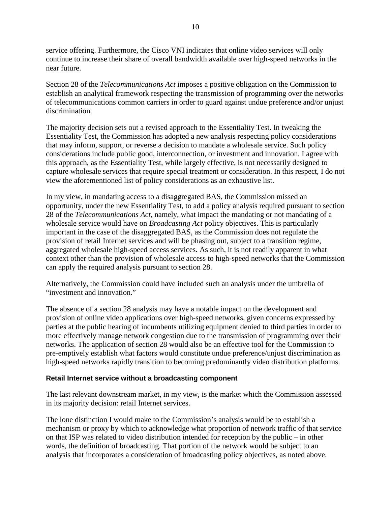service offering. Furthermore, the Cisco VNI indicates that online video services will only continue to increase their share of overall bandwidth available over high-speed networks in the near future.

Section 28 of the *Telecommunications Act* imposes a positive obligation on the Commission to establish an analytical framework respecting the transmission of programming over the networks of telecommunications common carriers in order to guard against undue preference and/or unjust discrimination.

The majority decision sets out a revised approach to the Essentiality Test. In tweaking the Essentiality Test, the Commission has adopted a new analysis respecting policy considerations that may inform, support, or reverse a decision to mandate a wholesale service. Such policy considerations include public good, interconnection, or investment and innovation. I agree with this approach, as the Essentiality Test, while largely effective, is not necessarily designed to capture wholesale services that require special treatment or consideration. In this respect, I do not view the aforementioned list of policy considerations as an exhaustive list.

In my view, in mandating access to a disaggregated BAS, the Commission missed an opportunity, under the new Essentiality Test, to add a policy analysis required pursuant to section 28 of the *Telecommunications Act*, namely, what impact the mandating or not mandating of a wholesale service would have on *Broadcasting Act* policy objectives. This is particularly important in the case of the disaggregated BAS, as the Commission does not regulate the provision of retail Internet services and will be phasing out, subject to a transition regime, aggregated wholesale high-speed access services. As such, it is not readily apparent in what context other than the provision of wholesale access to high-speed networks that the Commission can apply the required analysis pursuant to section 28.

Alternatively, the Commission could have included such an analysis under the umbrella of "investment and innovation."

The absence of a section 28 analysis may have a notable impact on the development and provision of online video applications over high-speed networks, given concerns expressed by parties at the public hearing of incumbents utilizing equipment denied to third parties in order to more effectively manage network congestion due to the transmission of programming over their networks. The application of section 28 would also be an effective tool for the Commission to pre-emptively establish what factors would constitute undue preference/unjust discrimination as high-speed networks rapidly transition to becoming predominantly video distribution platforms.

#### **Retail Internet service without a broadcasting component**

The last relevant downstream market, in my view, is the market which the Commission assessed in its majority decision: retail Internet services.

The lone distinction I would make to the Commission's analysis would be to establish a mechanism or proxy by which to acknowledge what proportion of network traffic of that service on that ISP was related to video distribution intended for reception by the public – in other words, the definition of broadcasting. That portion of the network would be subject to an analysis that incorporates a consideration of broadcasting policy objectives, as noted above.